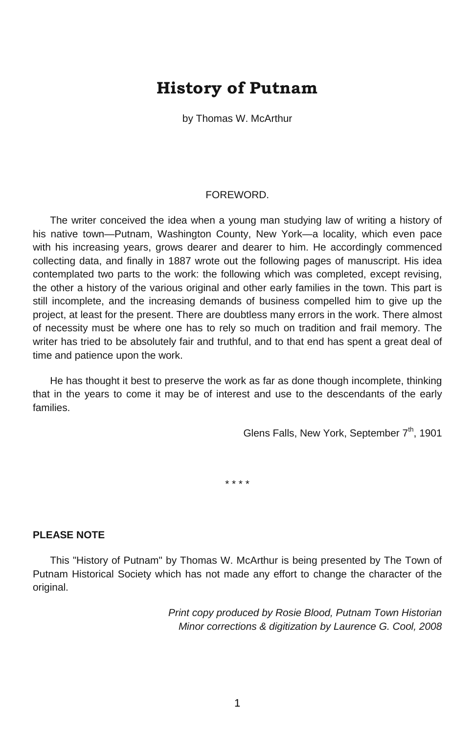# **History of Putnam**

by Thomas W. McArthur

## FOREWORD.

The writer conceived the idea when a young man studying law of writing a history of his native town—Putnam, Washington County, New York—a locality, which even pace with his increasing years, grows dearer and dearer to him. He accordingly commenced collecting data, and finally in 1887 wrote out the following pages of manuscript. His idea contemplated two parts to the work: the following which was completed, except revising, the other a history of the various original and other early families in the town. This part is still incomplete, and the increasing demands of business compelled him to give up the project, at least for the present. There are doubtless many errors in the work. There almost of necessity must be where one has to rely so much on tradition and frail memory. The writer has tried to be absolutely fair and truthful, and to that end has spent a great deal of time and patience upon the work.

He has thought it best to preserve the work as far as done though incomplete, thinking that in the years to come it may be of interest and use to the descendants of the early families.

Glens Falls, New York, September 7<sup>th</sup>, 1901

\* \* \* \*

## **PLEASE NOTE**

This "History of Putnam" by Thomas W. McArthur is being presented by The Town of Putnam Historical Society which has not made any effort to change the character of the original.

> *Print copy produced by Rosie Blood, Putnam Town Historian Minor corrections & digitization by Laurence G. Cool, 2008*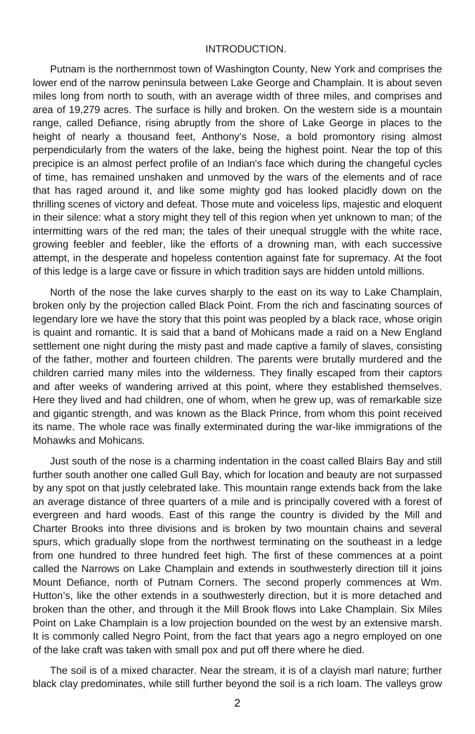#### INTRODUCTION.

Putnam is the northernmost town of Washington County, New York and comprises the lower end of the narrow peninsula between Lake George and Champlain. It is about seven miles long from north to south, with an average width of three miles, and comprises and area of 19,279 acres. The surface is hilly and broken. On the western side is a mountain range, called Defiance, rising abruptly from the shore of Lake George in places to the height of nearly a thousand feet, Anthony's Nose, a bold promontory rising almost perpendicularly from the waters of the lake, being the highest point. Near the top of this precipice is an almost perfect profile of an Indian's face which during the changeful cycles of time, has remained unshaken and unmoved by the wars of the elements and of race that has raged around it, and like some mighty god has looked placidly down on the thrilling scenes of victory and defeat. Those mute and voiceless lips, majestic and eloquent in their silence: what a story might they tell of this region when yet unknown to man; of the intermitting wars of the red man; the tales of their unequal struggle with the white race, growing feebler and feebler, like the efforts of a drowning man, with each successive attempt, in the desperate and hopeless contention against fate for supremacy. At the foot of this ledge is a large cave or fissure in which tradition says are hidden untold millions.

North of the nose the lake curves sharply to the east on its way to Lake Champlain, broken only by the projection called Black Point. From the rich and fascinating sources of legendary lore we have the story that this point was peopled by a black race, whose origin is quaint and romantic. It is said that a band of Mohicans made a raid on a New England settlement one night during the misty past and made captive a family of slaves, consisting of the father, mother and fourteen children. The parents were brutally murdered and the children carried many miles into the wilderness. They finally escaped from their captors and after weeks of wandering arrived at this point, where they established themselves. Here they lived and had children, one of whom, when he grew up, was of remarkable size and gigantic strength, and was known as the Black Prince, from whom this point received its name. The whole race was finally exterminated during the war-like immigrations of the Mohawks and Mohicans.

Just south of the nose is a charming indentation in the coast called Blairs Bay and still further south another one called Gull Bay, which for location and beauty are not surpassed by any spot on that justly celebrated lake. This mountain range extends back from the lake an average distance of three quarters of a mile and is principally covered with a forest of evergreen and hard woods. East of this range the country is divided by the Mill and Charter Brooks into three divisions and is broken by two mountain chains and several spurs, which gradually slope from the northwest terminating on the southeast in a ledge from one hundred to three hundred feet high. The first of these commences at a point called the Narrows on Lake Champlain and extends in southwesterly direction till it joins Mount Defiance, north of Putnam Corners. The second properly commences at Wm. Hutton's, like the other extends in a southwesterly direction, but it is more detached and broken than the other, and through it the Mill Brook flows into Lake Champlain. Six Miles Point on Lake Champlain is a low projection bounded on the west by an extensive marsh. It is commonly called Negro Point, from the fact that years ago a negro employed on one of the lake craft was taken with small pox and put off there where he died.

The soil is of a mixed character. Near the stream, it is of a clayish marl nature; further black clay predominates, while still further beyond the soil is a rich loam. The valleys grow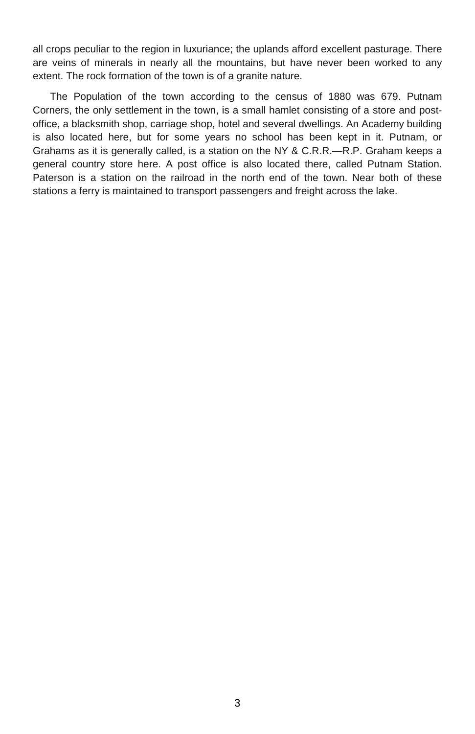all crops peculiar to the region in luxuriance; the uplands afford excellent pasturage. There are veins of minerals in nearly all the mountains, but have never been worked to any extent. The rock formation of the town is of a granite nature.

The Population of the town according to the census of 1880 was 679. Putnam Corners, the only settlement in the town, is a small hamlet consisting of a store and postoffice, a blacksmith shop, carriage shop, hotel and several dwellings. An Academy building is also located here, but for some years no school has been kept in it. Putnam, or Grahams as it is generally called, is a station on the NY & C.R.R.—R.P. Graham keeps a general country store here. A post office is also located there, called Putnam Station. Paterson is a station on the railroad in the north end of the town. Near both of these stations a ferry is maintained to transport passengers and freight across the lake.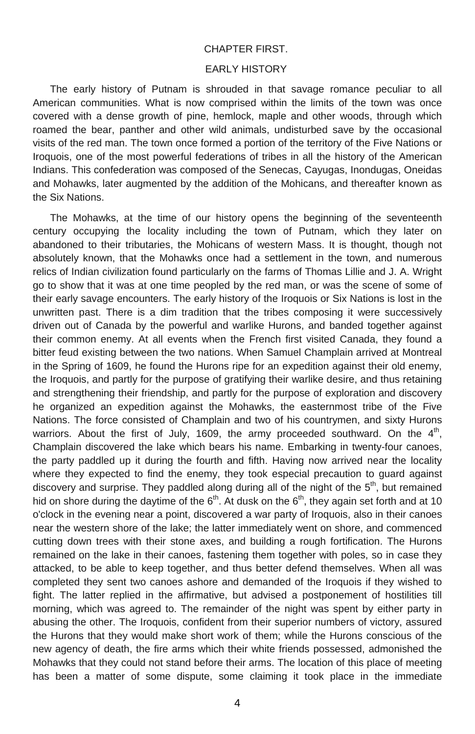#### CHAPTER FIRST.

#### EARLY HISTORY

The early history of Putnam is shrouded in that savage romance peculiar to all American communities. What is now comprised within the limits of the town was once covered with a dense growth of pine, hemlock, maple and other woods, through which roamed the bear, panther and other wild animals, undisturbed save by the occasional visits of the red man. The town once formed a portion of the territory of the Five Nations or Iroquois, one of the most powerful federations of tribes in all the history of the American Indians. This confederation was composed of the Senecas, Cayugas, Inondugas, Oneidas and Mohawks, later augmented by the addition of the Mohicans, and thereafter known as the Six Nations.

The Mohawks, at the time of our history opens the beginning of the seventeenth century occupying the locality including the town of Putnam, which they later on abandoned to their tributaries, the Mohicans of western Mass. It is thought, though not absolutely known, that the Mohawks once had a settlement in the town, and numerous relics of Indian civilization found particularly on the farms of Thomas Lillie and J. A. Wright go to show that it was at one time peopled by the red man, or was the scene of some of their early savage encounters. The early history of the Iroquois or Six Nations is lost in the unwritten past. There is a dim tradition that the tribes composing it were successively driven out of Canada by the powerful and warlike Hurons, and banded together against their common enemy. At all events when the French first visited Canada, they found a bitter feud existing between the two nations. When Samuel Champlain arrived at Montreal in the Spring of 1609, he found the Hurons ripe for an expedition against their old enemy, the Iroquois, and partly for the purpose of gratifying their warlike desire, and thus retaining and strengthening their friendship, and partly for the purpose of exploration and discovery he organized an expedition against the Mohawks, the easternmost tribe of the Five Nations. The force consisted of Champlain and two of his countrymen, and sixty Hurons warriors. About the first of July, 1609, the army proceeded southward. On the  $4<sup>th</sup>$ , Champlain discovered the lake which bears his name. Embarking in twenty-four canoes, the party paddled up it during the fourth and fifth. Having now arrived near the locality where they expected to find the enemy, they took especial precaution to guard against discovery and surprise. They paddled along during all of the night of the  $5<sup>th</sup>$ , but remained hid on shore during the daytime of the  $6<sup>th</sup>$ . At dusk on the  $6<sup>th</sup>$ , they again set forth and at 10 o'clock in the evening near a point, discovered a war party of Iroquois, also in their canoes near the western shore of the lake; the latter immediately went on shore, and commenced cutting down trees with their stone axes, and building a rough fortification. The Hurons remained on the lake in their canoes, fastening them together with poles, so in case they attacked, to be able to keep together, and thus better defend themselves. When all was completed they sent two canoes ashore and demanded of the Iroquois if they wished to fight. The latter replied in the affirmative, but advised a postponement of hostilities till morning, which was agreed to. The remainder of the night was spent by either party in abusing the other. The Iroquois, confident from their superior numbers of victory, assured the Hurons that they would make short work of them; while the Hurons conscious of the new agency of death, the fire arms which their white friends possessed, admonished the Mohawks that they could not stand before their arms. The location of this place of meeting has been a matter of some dispute, some claiming it took place in the immediate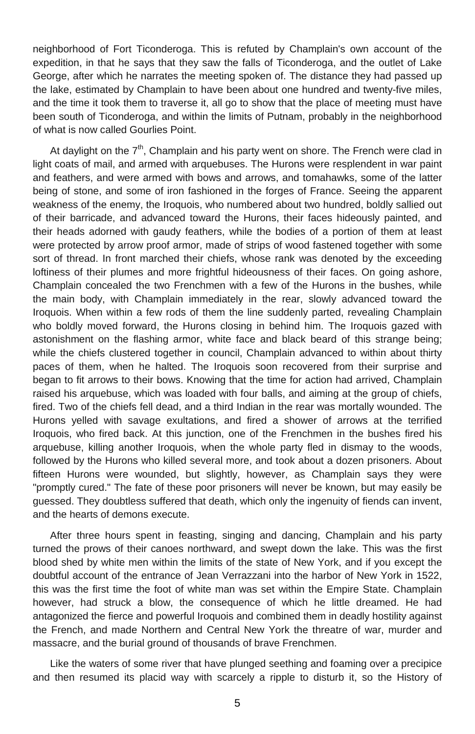neighborhood of Fort Ticonderoga. This is refuted by Champlain's own account of the expedition, in that he says that they saw the falls of Ticonderoga, and the outlet of Lake George, after which he narrates the meeting spoken of. The distance they had passed up the lake, estimated by Champlain to have been about one hundred and twenty-five miles, and the time it took them to traverse it, all go to show that the place of meeting must have been south of Ticonderoga, and within the limits of Putnam, probably in the neighborhood of what is now called Gourlies Point.

At davlight on the  $7<sup>th</sup>$ , Champlain and his party went on shore. The French were clad in light coats of mail, and armed with arquebuses. The Hurons were resplendent in war paint and feathers, and were armed with bows and arrows, and tomahawks, some of the latter being of stone, and some of iron fashioned in the forges of France. Seeing the apparent weakness of the enemy, the Iroquois, who numbered about two hundred, boldly sallied out of their barricade, and advanced toward the Hurons, their faces hideously painted, and their heads adorned with gaudy feathers, while the bodies of a portion of them at least were protected by arrow proof armor, made of strips of wood fastened together with some sort of thread. In front marched their chiefs, whose rank was denoted by the exceeding loftiness of their plumes and more frightful hideousness of their faces. On going ashore, Champlain concealed the two Frenchmen with a few of the Hurons in the bushes, while the main body, with Champlain immediately in the rear, slowly advanced toward the Iroquois. When within a few rods of them the line suddenly parted, revealing Champlain who boldly moved forward, the Hurons closing in behind him. The Iroquois gazed with astonishment on the flashing armor, white face and black beard of this strange being; while the chiefs clustered together in council, Champlain advanced to within about thirty paces of them, when he halted. The Iroquois soon recovered from their surprise and began to fit arrows to their bows. Knowing that the time for action had arrived, Champlain raised his arquebuse, which was loaded with four balls, and aiming at the group of chiefs, fired. Two of the chiefs fell dead, and a third Indian in the rear was mortally wounded. The Hurons yelled with savage exultations, and fired a shower of arrows at the terrified Iroquois, who fired back. At this junction, one of the Frenchmen in the bushes fired his arquebuse, killing another Iroquois, when the whole party fled in dismay to the woods, followed by the Hurons who killed several more, and took about a dozen prisoners. About fifteen Hurons were wounded, but slightly, however, as Champlain says they were "promptly cured." The fate of these poor prisoners will never be known, but may easily be guessed. They doubtless suffered that death, which only the ingenuity of fiends can invent, and the hearts of demons execute.

After three hours spent in feasting, singing and dancing, Champlain and his party turned the prows of their canoes northward, and swept down the lake. This was the first blood shed by white men within the limits of the state of New York, and if you except the doubtful account of the entrance of Jean Verrazzani into the harbor of New York in 1522, this was the first time the foot of white man was set within the Empire State. Champlain however, had struck a blow, the consequence of which he little dreamed. He had antagonized the fierce and powerful Iroquois and combined them in deadly hostility against the French, and made Northern and Central New York the threatre of war, murder and massacre, and the burial ground of thousands of brave Frenchmen.

Like the waters of some river that have plunged seething and foaming over a precipice and then resumed its placid way with scarcely a ripple to disturb it, so the History of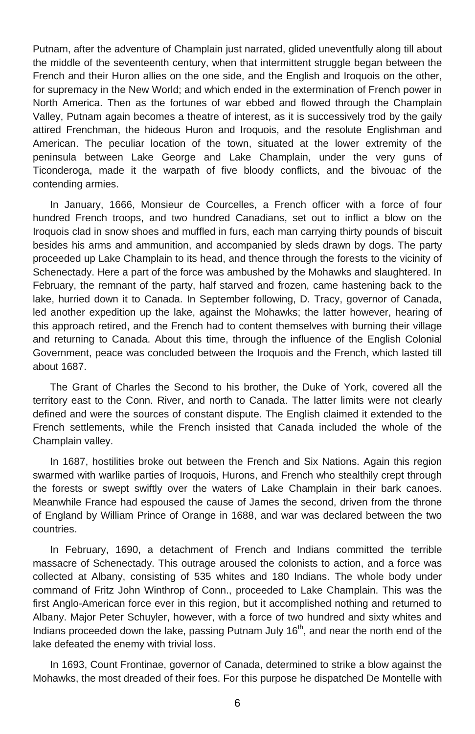Putnam, after the adventure of Champlain just narrated, glided uneventfully along till about the middle of the seventeenth century, when that intermittent struggle began between the French and their Huron allies on the one side, and the English and Iroquois on the other, for supremacy in the New World; and which ended in the extermination of French power in North America. Then as the fortunes of war ebbed and flowed through the Champlain Valley, Putnam again becomes a theatre of interest, as it is successively trod by the gaily attired Frenchman, the hideous Huron and Iroquois, and the resolute Englishman and American. The peculiar location of the town, situated at the lower extremity of the peninsula between Lake George and Lake Champlain, under the very guns of Ticonderoga, made it the warpath of five bloody conflicts, and the bivouac of the contending armies.

In January, 1666, Monsieur de Courcelles, a French officer with a force of four hundred French troops, and two hundred Canadians, set out to inflict a blow on the Iroquois clad in snow shoes and muffled in furs, each man carrying thirty pounds of biscuit besides his arms and ammunition, and accompanied by sleds drawn by dogs. The party proceeded up Lake Champlain to its head, and thence through the forests to the vicinity of Schenectady. Here a part of the force was ambushed by the Mohawks and slaughtered. In February, the remnant of the party, half starved and frozen, came hastening back to the lake, hurried down it to Canada. In September following, D. Tracy, governor of Canada, led another expedition up the lake, against the Mohawks; the latter however, hearing of this approach retired, and the French had to content themselves with burning their village and returning to Canada. About this time, through the influence of the English Colonial Government, peace was concluded between the Iroquois and the French, which lasted till about 1687.

The Grant of Charles the Second to his brother, the Duke of York, covered all the territory east to the Conn. River, and north to Canada. The latter limits were not clearly defined and were the sources of constant dispute. The English claimed it extended to the French settlements, while the French insisted that Canada included the whole of the Champlain valley.

In 1687, hostilities broke out between the French and Six Nations. Again this region swarmed with warlike parties of Iroquois, Hurons, and French who stealthily crept through the forests or swept swiftly over the waters of Lake Champlain in their bark canoes. Meanwhile France had espoused the cause of James the second, driven from the throne of England by William Prince of Orange in 1688, and war was declared between the two countries.

In February, 1690, a detachment of French and Indians committed the terrible massacre of Schenectady. This outrage aroused the colonists to action, and a force was collected at Albany, consisting of 535 whites and 180 Indians. The whole body under command of Fritz John Winthrop of Conn., proceeded to Lake Champlain. This was the first Anglo-American force ever in this region, but it accomplished nothing and returned to Albany. Major Peter Schuyler, however, with a force of two hundred and sixty whites and Indians proceeded down the lake, passing Putnam July  $16<sup>th</sup>$ , and near the north end of the lake defeated the enemy with trivial loss.

In 1693, Count Frontinae, governor of Canada, determined to strike a blow against the Mohawks, the most dreaded of their foes. For this purpose he dispatched De Montelle with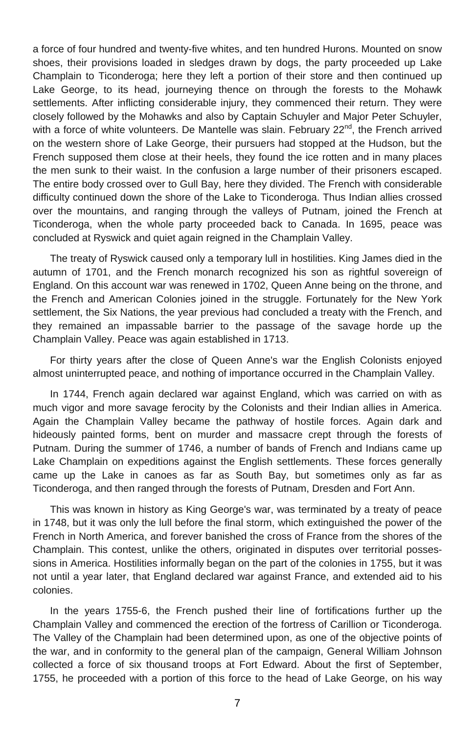a force of four hundred and twenty-five whites, and ten hundred Hurons. Mounted on snow shoes, their provisions loaded in sledges drawn by dogs, the party proceeded up Lake Champlain to Ticonderoga; here they left a portion of their store and then continued up Lake George, to its head, journeying thence on through the forests to the Mohawk settlements. After inflicting considerable injury, they commenced their return. They were closely followed by the Mohawks and also by Captain Schuyler and Major Peter Schuyler, with a force of white volunteers. De Mantelle was slain. February  $22^{nd}$ , the French arrived on the western shore of Lake George, their pursuers had stopped at the Hudson, but the French supposed them close at their heels, they found the ice rotten and in many places the men sunk to their waist. In the confusion a large number of their prisoners escaped. The entire body crossed over to Gull Bay, here they divided. The French with considerable difficulty continued down the shore of the Lake to Ticonderoga. Thus Indian allies crossed over the mountains, and ranging through the valleys of Putnam, joined the French at Ticonderoga, when the whole party proceeded back to Canada. In 1695, peace was concluded at Ryswick and quiet again reigned in the Champlain Valley.

The treaty of Ryswick caused only a temporary lull in hostilities. King James died in the autumn of 1701, and the French monarch recognized his son as rightful sovereign of England. On this account war was renewed in 1702, Queen Anne being on the throne, and the French and American Colonies joined in the struggle. Fortunately for the New York settlement, the Six Nations, the year previous had concluded a treaty with the French, and they remained an impassable barrier to the passage of the savage horde up the Champlain Valley. Peace was again established in 1713.

For thirty years after the close of Queen Anne's war the English Colonists enjoyed almost uninterrupted peace, and nothing of importance occurred in the Champlain Valley.

In 1744, French again declared war against England, which was carried on with as much vigor and more savage ferocity by the Colonists and their Indian allies in America. Again the Champlain Valley became the pathway of hostile forces. Again dark and hideously painted forms, bent on murder and massacre crept through the forests of Putnam. During the summer of 1746, a number of bands of French and Indians came up Lake Champlain on expeditions against the English settlements. These forces generally came up the Lake in canoes as far as South Bay, but sometimes only as far as Ticonderoga, and then ranged through the forests of Putnam, Dresden and Fort Ann.

This was known in history as King George's war, was terminated by a treaty of peace in 1748, but it was only the lull before the final storm, which extinguished the power of the French in North America, and forever banished the cross of France from the shores of the Champlain. This contest, unlike the others, originated in disputes over territorial possessions in America. Hostilities informally began on the part of the colonies in 1755, but it was not until a year later, that England declared war against France, and extended aid to his colonies.

In the years 1755-6, the French pushed their line of fortifications further up the Champlain Valley and commenced the erection of the fortress of Carillion or Ticonderoga. The Valley of the Champlain had been determined upon, as one of the objective points of the war, and in conformity to the general plan of the campaign, General William Johnson collected a force of six thousand troops at Fort Edward. About the first of September, 1755, he proceeded with a portion of this force to the head of Lake George, on his way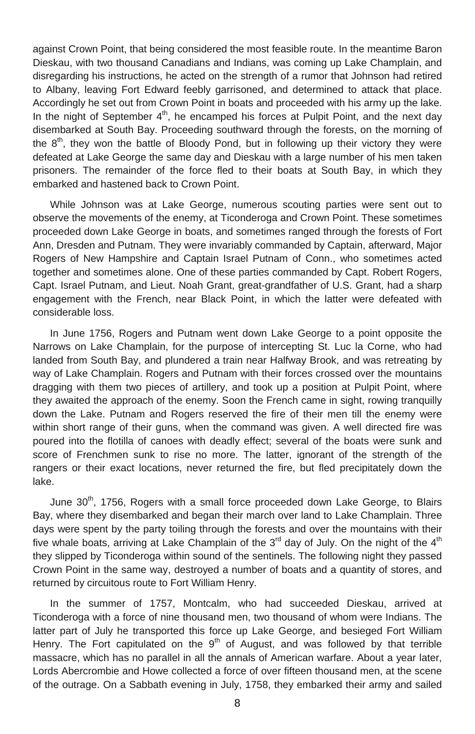against Crown Point, that being considered the most feasible route. In the meantime Baron Dieskau, with two thousand Canadians and Indians, was coming up Lake Champlain, and disregarding his instructions, he acted on the strength of a rumor that Johnson had retired to Albany, leaving Fort Edward feebly garrisoned, and determined to attack that place. Accordingly he set out from Crown Point in boats and proceeded with his army up the lake. In the night of September  $4<sup>th</sup>$ , he encamped his forces at Pulpit Point, and the next day disembarked at South Bay. Proceeding southward through the forests, on the morning of the 8<sup>th</sup>, they won the battle of Bloody Pond, but in following up their victory they were defeated at Lake George the same day and Dieskau with a large number of his men taken prisoners. The remainder of the force fled to their boats at South Bay, in which they embarked and hastened back to Crown Point.

While Johnson was at Lake George, numerous scouting parties were sent out to observe the movements of the enemy, at Ticonderoga and Crown Point. These sometimes proceeded down Lake George in boats, and sometimes ranged through the forests of Fort Ann, Dresden and Putnam. They were invariably commanded by Captain, afterward, Major Rogers of New Hampshire and Captain Israel Putnam of Conn., who sometimes acted together and sometimes alone. One of these parties commanded by Capt. Robert Rogers, Capt. Israel Putnam, and Lieut. Noah Grant, great-grandfather of U.S. Grant, had a sharp engagement with the French, near Black Point, in which the latter were defeated with considerable loss.

In June 1756, Rogers and Putnam went down Lake George to a point opposite the Narrows on Lake Champlain, for the purpose of intercepting St. Luc la Corne, who had landed from South Bay, and plundered a train near Halfway Brook, and was retreating by way of Lake Champlain. Rogers and Putnam with their forces crossed over the mountains dragging with them two pieces of artillery, and took up a position at Pulpit Point, where they awaited the approach of the enemy. Soon the French came in sight, rowing tranquilly down the Lake. Putnam and Rogers reserved the fire of their men till the enemy were within short range of their guns, when the command was given. A well directed fire was poured into the flotilla of canoes with deadly effect; several of the boats were sunk and score of Frenchmen sunk to rise no more. The latter, ignorant of the strength of the rangers or their exact locations, never returned the fire, but fled precipitately down the lake.

June  $30<sup>th</sup>$ , 1756, Rogers with a small force proceeded down Lake George, to Blairs Bay, where they disembarked and began their march over land to Lake Champlain. Three days were spent by the party toiling through the forests and over the mountains with their five whale boats, arriving at Lake Champlain of the  $3<sup>rd</sup>$  day of July. On the night of the  $4<sup>th</sup>$ they slipped by Ticonderoga within sound of the sentinels. The following night they passed Crown Point in the same way, destroyed a number of boats and a quantity of stores, and returned by circuitous route to Fort William Henry.

In the summer of 1757, Montcalm, who had succeeded Dieskau, arrived at Ticonderoga with a force of nine thousand men, two thousand of whom were Indians. The latter part of July he transported this force up Lake George, and besieged Fort William Henry. The Fort capitulated on the  $9<sup>th</sup>$  of August, and was followed by that terrible massacre, which has no parallel in all the annals of American warfare. About a year later, Lords Abercrombie and Howe collected a force of over fifteen thousand men, at the scene of the outrage. On a Sabbath evening in July, 1758, they embarked their army and sailed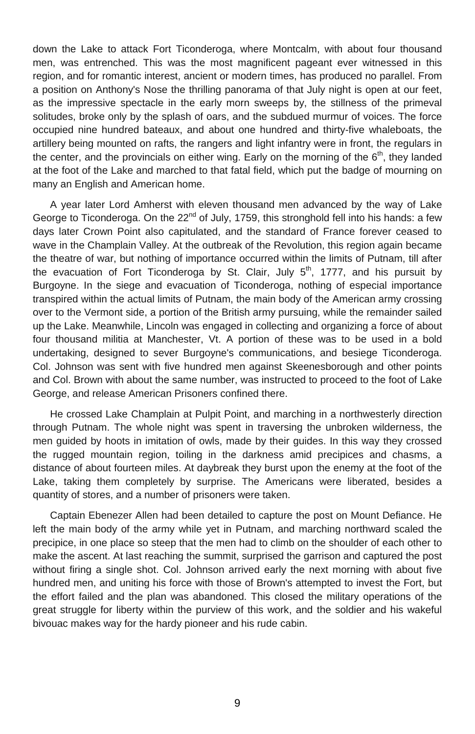down the Lake to attack Fort Ticonderoga, where Montcalm, with about four thousand men, was entrenched. This was the most magnificent pageant ever witnessed in this region, and for romantic interest, ancient or modern times, has produced no parallel. From a position on Anthony's Nose the thrilling panorama of that July night is open at our feet, as the impressive spectacle in the early morn sweeps by, the stillness of the primeval solitudes, broke only by the splash of oars, and the subdued murmur of voices. The force occupied nine hundred bateaux, and about one hundred and thirty-five whaleboats, the artillery being mounted on rafts, the rangers and light infantry were in front, the regulars in the center, and the provincials on either wing. Early on the morning of the  $6<sup>th</sup>$ , they landed at the foot of the Lake and marched to that fatal field, which put the badge of mourning on many an English and American home.

A year later Lord Amherst with eleven thousand men advanced by the way of Lake George to Ticonderoga. On the  $22^{nd}$  of July, 1759, this stronghold fell into his hands: a few days later Crown Point also capitulated, and the standard of France forever ceased to wave in the Champlain Valley. At the outbreak of the Revolution, this region again became the theatre of war, but nothing of importance occurred within the limits of Putnam, till after the evacuation of Fort Ticonderoga by St. Clair, July  $5<sup>th</sup>$ , 1777, and his pursuit by Burgoyne. In the siege and evacuation of Ticonderoga, nothing of especial importance transpired within the actual limits of Putnam, the main body of the American army crossing over to the Vermont side, a portion of the British army pursuing, while the remainder sailed up the Lake. Meanwhile, Lincoln was engaged in collecting and organizing a force of about four thousand militia at Manchester, Vt. A portion of these was to be used in a bold undertaking, designed to sever Burgoyne's communications, and besiege Ticonderoga. Col. Johnson was sent with five hundred men against Skeenesborough and other points and Col. Brown with about the same number, was instructed to proceed to the foot of Lake George, and release American Prisoners confined there.

He crossed Lake Champlain at Pulpit Point, and marching in a northwesterly direction through Putnam. The whole night was spent in traversing the unbroken wilderness, the men guided by hoots in imitation of owls, made by their guides. In this way they crossed the rugged mountain region, toiling in the darkness amid precipices and chasms, a distance of about fourteen miles. At daybreak they burst upon the enemy at the foot of the Lake, taking them completely by surprise. The Americans were liberated, besides a quantity of stores, and a number of prisoners were taken.

Captain Ebenezer Allen had been detailed to capture the post on Mount Defiance. He left the main body of the army while yet in Putnam, and marching northward scaled the precipice, in one place so steep that the men had to climb on the shoulder of each other to make the ascent. At last reaching the summit, surprised the garrison and captured the post without firing a single shot. Col. Johnson arrived early the next morning with about five hundred men, and uniting his force with those of Brown's attempted to invest the Fort, but the effort failed and the plan was abandoned. This closed the military operations of the great struggle for liberty within the purview of this work, and the soldier and his wakeful bivouac makes way for the hardy pioneer and his rude cabin.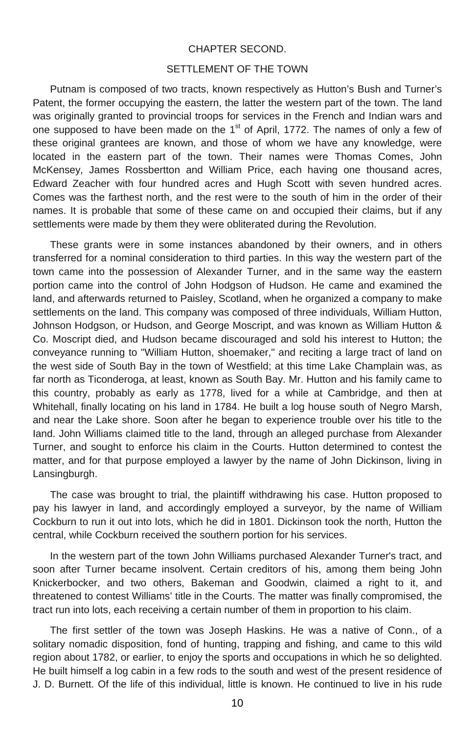#### CHAPTER SECOND.

#### SETTI FMENT OF THE TOWN

Putnam is composed of two tracts, known respectively as Hutton's Bush and Turner's Patent, the former occupying the eastern, the latter the western part of the town. The land was originally granted to provincial troops for services in the French and Indian wars and one supposed to have been made on the  $1<sup>st</sup>$  of April, 1772. The names of only a few of these original grantees are known, and those of whom we have any knowledge, were located in the eastern part of the town. Their names were Thomas Comes, John McKensey, James Rossbertton and William Price, each having one thousand acres, Edward Zeacher with four hundred acres and Hugh Scott with seven hundred acres. Comes was the farthest north, and the rest were to the south of him in the order of their names. It is probable that some of these came on and occupied their claims, but if any settlements were made by them they were obliterated during the Revolution.

These grants were in some instances abandoned by their owners, and in others transferred for a nominal consideration to third parties. In this way the western part of the town came into the possession of Alexander Turner, and in the same way the eastern portion came into the control of John Hodgson of Hudson. He came and examined the land, and afterwards returned to Paisley, Scotland, when he organized a company to make settlements on the land. This company was composed of three individuals, William Hutton, Johnson Hodgson, or Hudson, and George Moscript, and was known as William Hutton & Co. Moscript died, and Hudson became discouraged and sold his interest to Hutton; the conveyance running to "William Hutton, shoemaker," and reciting a large tract of land on the west side of South Bay in the town of Westfield; at this time Lake Champlain was, as far north as Ticonderoga, at least, known as South Bay. Mr. Hutton and his family came to this country, probably as early as 1778, lived for a while at Cambridge, and then at Whitehall, finally locating on his land in 1784. He built a log house south of Negro Marsh, and near the Lake shore. Soon after he began to experience trouble over his title to the Iand. John Williams claimed title to the land, through an alleged purchase from Alexander Turner, and sought to enforce his claim in the Courts. Hutton determined to contest the matter, and for that purpose employed a lawyer by the name of John Dickinson, living in Lansingburgh.

The case was brought to trial, the plaintiff withdrawing his case. Hutton proposed to pay his lawyer in land, and accordingly employed a surveyor, by the name of William Cockburn to run it out into lots, which he did in 1801. Dickinson took the north, Hutton the central, while Cockburn received the southern portion for his services.

In the western part of the town John Williams purchased Alexander Turner's tract, and soon after Turner became insolvent. Certain creditors of his, among them being John Knickerbocker, and two others, Bakeman and Goodwin, claimed a right to it, and threatened to contest Williams' title in the Courts. The matter was finally compromised, the tract run into lots, each receiving a certain number of them in proportion to his claim.

The first settler of the town was Joseph Haskins. He was a native of Conn., of a solitary nomadic disposition, fond of hunting, trapping and fishing, and came to this wild region about 1782, or earlier, to enjoy the sports and occupations in which he so delighted. He built himself a log cabin in a few rods to the south and west of the present residence of J. D. Burnett. Of the life of this individual, little is known. He continued to live in his rude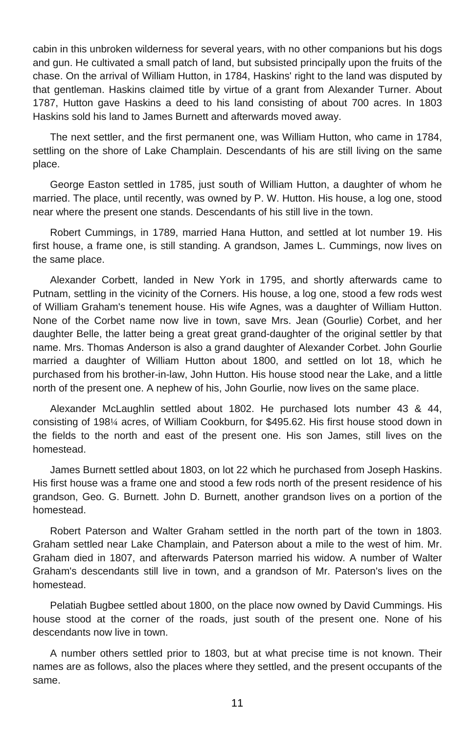cabin in this unbroken wilderness for several years, with no other companions but his dogs and gun. He cultivated a small patch of land, but subsisted principally upon the fruits of the chase. On the arrival of William Hutton, in 1784, Haskins' right to the land was disputed by that gentleman. Haskins claimed title by virtue of a grant from Alexander Turner. About 1787, Hutton gave Haskins a deed to his land consisting of about 700 acres. In 1803 Haskins sold his land to James Burnett and afterwards moved away.

The next settler, and the first permanent one, was William Hutton, who came in 1784, settling on the shore of Lake Champlain. Descendants of his are still living on the same place.

George Easton settled in 1785, just south of William Hutton, a daughter of whom he married. The place, until recently, was owned by P. W. Hutton. His house, a log one, stood near where the present one stands. Descendants of his still live in the town.

Robert Cummings, in 1789, married Hana Hutton, and settled at lot number 19. His first house, a frame one, is still standing. A grandson, James L. Cummings, now lives on the same place.

Alexander Corbett, landed in New York in 1795, and shortly afterwards came to Putnam, settling in the vicinity of the Corners. His house, a log one, stood a few rods west of William Graham's tenement house. His wife Agnes, was a daughter of William Hutton. None of the Corbet name now live in town, save Mrs. Jean (Gourlie) Corbet, and her daughter Belle, the latter being a great great grand-daughter of the original settler by that name. Mrs. Thomas Anderson is also a grand daughter of Alexander Corbet. John Gourlie married a daughter of William Hutton about 1800, and settled on lot 18, which he purchased from his brother-in-law, John Hutton. His house stood near the Lake, and a little north of the present one. A nephew of his, John Gourlie, now lives on the same place.

Alexander McLaughlin settled about 1802. He purchased lots number 43 & 44, consisting of 198¼ acres, of William Cookburn, for \$495.62. His first house stood down in the fields to the north and east of the present one. His son James, still lives on the homestead.

James Burnett settled about 1803, on lot 22 which he purchased from Joseph Haskins. His first house was a frame one and stood a few rods north of the present residence of his grandson, Geo. G. Burnett. John D. Burnett, another grandson lives on a portion of the homestead.

Robert Paterson and Walter Graham settled in the north part of the town in 1803. Graham settled near Lake Champlain, and Paterson about a mile to the west of him. Mr. Graham died in 1807, and afterwards Paterson married his widow. A number of Walter Graham's descendants still live in town, and a grandson of Mr. Paterson's lives on the homestead.

Pelatiah Bugbee settled about 1800, on the place now owned by David Cummings. His house stood at the corner of the roads, just south of the present one. None of his descendants now live in town.

A number others settled prior to 1803, but at what precise time is not known. Their names are as follows, also the places where they settled, and the present occupants of the same.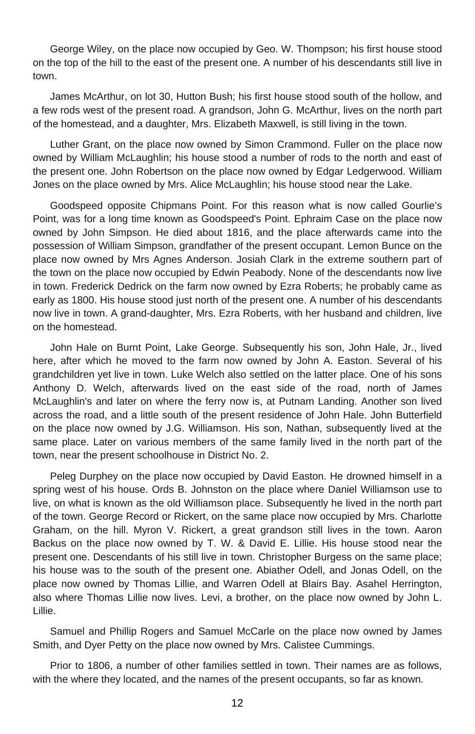George Wiley, on the place now occupied by Geo. W. Thompson; his first house stood on the top of the hill to the east of the present one. A number of his descendants still live in town.

James McArthur, on lot 30, Hutton Bush; his first house stood south of the hollow, and a few rods west of the present road. A grandson, John G. McArthur, lives on the north part of the homestead, and a daughter, Mrs. Elizabeth Maxwell, is still living in the town.

Luther Grant, on the place now owned by Simon Crammond. Fuller on the place now owned by William McLaughlin; his house stood a number of rods to the north and east of the present one. John Robertson on the place now owned by Edgar Ledgerwood. William Jones on the place owned by Mrs. Alice McLaughlin; his house stood near the Lake.

Goodspeed opposite Chipmans Point. For this reason what is now called Gourlie's Point, was for a long time known as Goodspeed's Point. Ephraim Case on the place now owned by John Simpson. He died about 1816, and the place afterwards came into the possession of William Simpson, grandfather of the present occupant. Lemon Bunce on the place now owned by Mrs Agnes Anderson. Josiah Clark in the extreme southern part of the town on the place now occupied by Edwin Peabody. None of the descendants now live in town. Frederick Dedrick on the farm now owned by Ezra Roberts; he probably came as early as 1800. His house stood just north of the present one. A number of his descendants now live in town. A grand-daughter, Mrs. Ezra Roberts, with her husband and children, live on the homestead.

John Hale on Burnt Point, Lake George. Subsequently his son, John Hale, Jr., lived here, after which he moved to the farm now owned by John A. Easton. Several of his grandchildren yet live in town. Luke Welch also settled on the latter place. One of his sons Anthony D. Welch, afterwards lived on the east side of the road, north of James McLaughlin's and later on where the ferry now is, at Putnam Landing. Another son lived across the road, and a little south of the present residence of John Hale. John Butterfield on the place now owned by J.G. Williamson. His son, Nathan, subsequently lived at the same place. Later on various members of the same family lived in the north part of the town, near the present schoolhouse in District No. 2.

Peleg Durphey on the place now occupied by David Easton. He drowned himself in a spring west of his house. Ords B. Johnston on the place where Daniel Williamson use to live, on what is known as the old Williamson place. Subsequently he lived in the north part of the town. George Record or Rickert, on the same place now occupied by Mrs. Charlotte Graham, on the hill. Myron V. Rickert, a great grandson still lives in the town. Aaron Backus on the place now owned by T. W. & David E. Lillie. His house stood near the present one. Descendants of his still live in town. Christopher Burgess on the same place; his house was to the south of the present one. Abiather Odell, and Jonas Odell, on the place now owned by Thomas Lillie, and Warren Odell at Blairs Bay. Asahel Herrington, also where Thomas Lillie now lives. Levi, a brother, on the place now owned by John L. Lillie.

Samuel and Phillip Rogers and Samuel McCarle on the place now owned by James Smith, and Dyer Petty on the place now owned by Mrs. Calistee Cummings.

Prior to 1806, a number of other families settled in town. Their names are as follows, with the where they located, and the names of the present occupants, so far as known.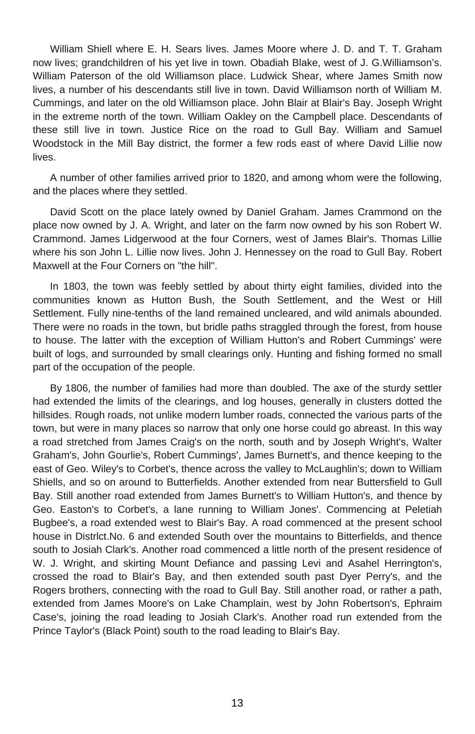William Shiell where E. H. Sears lives. James Moore where J. D. and T. T. Graham now lives; grandchildren of his yet live in town. Obadiah Blake, west of J. G.Williamson's. William Paterson of the old Williamson place. Ludwick Shear, where James Smith now lives, a number of his descendants still live in town. David Williamson north of William M. Cummings, and later on the old Williamson place. John Blair at Blair's Bay. Joseph Wright in the extreme north of the town. William Oakley on the Campbell place. Descendants of these still live in town. Justice Rice on the road to Gull Bay. William and Samuel Woodstock in the Mill Bay district, the former a few rods east of where David Lillie now lives.

A number of other families arrived prior to 1820, and among whom were the following, and the places where they settled.

David Scott on the place lately owned by Daniel Graham. James Crammond on the place now owned by J. A. Wright, and later on the farm now owned by his son Robert W. Crammond. James Lidgerwood at the four Corners, west of James Blair's. Thomas Lillie where his son John L. Lillie now lives. John J. Hennessey on the road to Gull Bay. Robert Maxwell at the Four Corners on "the hill".

In 1803, the town was feebly settled by about thirty eight families, divided into the communities known as Hutton Bush, the South Settlement, and the West or Hill Settlement. Fully nine-tenths of the land remained uncleared, and wild animals abounded. There were no roads in the town, but bridle paths straggled through the forest, from house to house. The latter with the exception of William Hutton's and Robert Cummings' were built of logs, and surrounded by small clearings only. Hunting and fishing formed no small part of the occupation of the people.

By 1806, the number of families had more than doubled. The axe of the sturdy settler had extended the limits of the clearings, and log houses, generally in clusters dotted the hillsides. Rough roads, not unlike modern lumber roads, connected the various parts of the town, but were in many places so narrow that only one horse could go abreast. In this way a road stretched from James Craig's on the north, south and by Joseph Wright's, Walter Graham's, John Gourlie's, Robert Cummings', James Burnett's, and thence keeping to the east of Geo. Wiley's to Corbet's, thence across the valley to McLaughlin's; down to William Shiells, and so on around to Butterfields. Another extended from near Buttersfield to Gull Bay. Still another road extended from James Burnett's to William Hutton's, and thence by Geo. Easton's to Corbet's, a lane running to William Jones'. Commencing at Peletiah Bugbee's, a road extended west to Blair's Bay. A road commenced at the present school house in Distrlct.No. 6 and extended South over the mountains to Bitterfields, and thence south to Josiah Clark's. Another road commenced a little north of the present residence of W. J. Wright, and skirting Mount Defiance and passing Levi and Asahel Herrington's, crossed the road to Blair's Bay, and then extended south past Dyer Perry's, and the Rogers brothers, connecting with the road to Gull Bay. Still another road, or rather a path, extended from James Moore's on Lake Champlain, west by John Robertson's, Ephraim Case's, joining the road leading to Josiah Clark's. Another road run extended from the Prince Taylor's (Black Point) south to the road leading to Blair's Bay.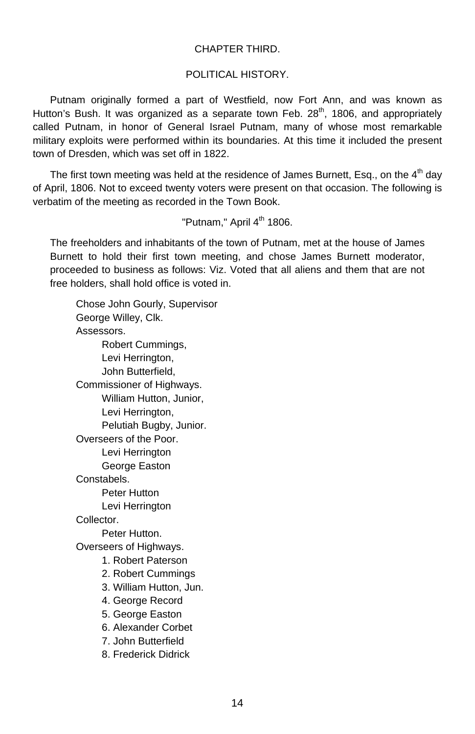## CHAPTER THIRD.

## POLITICAL HISTORY.

Putnam originally formed a part of Westfield, now Fort Ann, and was known as Hutton's Bush. It was organized as a separate town Feb. 28<sup>th</sup>, 1806, and appropriately called Putnam, in honor of General Israel Putnam, many of whose most remarkable military exploits were performed within its boundaries. At this time it included the present town of Dresden, which was set off in 1822.

The first town meeting was held at the residence of James Burnett, Esq., on the  $4<sup>th</sup>$  day of April, 1806. Not to exceed twenty voters were present on that occasion. The following is verbatim of the meeting as recorded in the Town Book.

"Putnam." April 4<sup>th</sup> 1806.

The freeholders and inhabitants of the town of Putnam, met at the house of James Burnett to hold their first town meeting, and chose James Burnett moderator, proceeded to business as follows: Viz. Voted that all aliens and them that are not free holders, shall hold office is voted in.

Chose John Gourly, Supervisor George Willey, Clk. Assessors. Robert Cummings, Levi Herrington, John Butterfield, Commissioner of Highways. William Hutton, Junior, Levi Herrington, Pelutiah Bugby, Junior. Overseers of the Poor. Levi Herrington George Easton Constabels. Peter Hutton Levi Herrington Collector. Peter Hutton. Overseers of Highways. 1. Robert Paterson 2. Robert Cummings 3. William Hutton, Jun. 4. George Record 5. George Easton 6. Alexander Corbet 7. John Butterfield 8. Frederick Didrick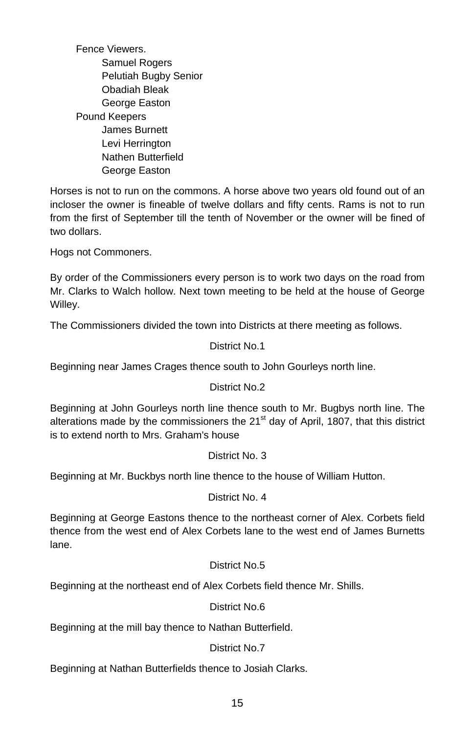Fence Viewers. Samuel Rogers Pelutiah Bugby Senior Obadiah Bleak George Easton Pound Keepers James Burnett Levi Herrington Nathen Butterfield George Easton

Horses is not to run on the commons. A horse above two years old found out of an incloser the owner is fineable of twelve dollars and fifty cents. Rams is not to run from the first of September till the tenth of November or the owner will be fined of two dollars.

Hogs not Commoners.

By order of the Commissioners every person is to work two days on the road from Mr. Clarks to Walch hollow. Next town meeting to be held at the house of George Willey.

The Commissioners divided the town into Districts at there meeting as follows.

# District No.1

Beginning near James Crages thence south to John Gourleys north line.

# District No.2

Beginning at John Gourleys north line thence south to Mr. Bugbys north line. The alterations made by the commissioners the  $21<sup>st</sup>$  day of April, 1807, that this district is to extend north to Mrs. Graham's house

# District No. 3

Beginning at Mr. Buckbys north line thence to the house of William Hutton.

# District No. 4

Beginning at George Eastons thence to the northeast corner of Alex. Corbets field thence from the west end of Alex Corbets lane to the west end of James Burnetts lane.

# District No.5

Beginning at the northeast end of Alex Corbets field thence Mr. Shills.

# District No.6

Beginning at the mill bay thence to Nathan Butterfield.

# District No.7

Beginning at Nathan Butterfields thence to Josiah Clarks.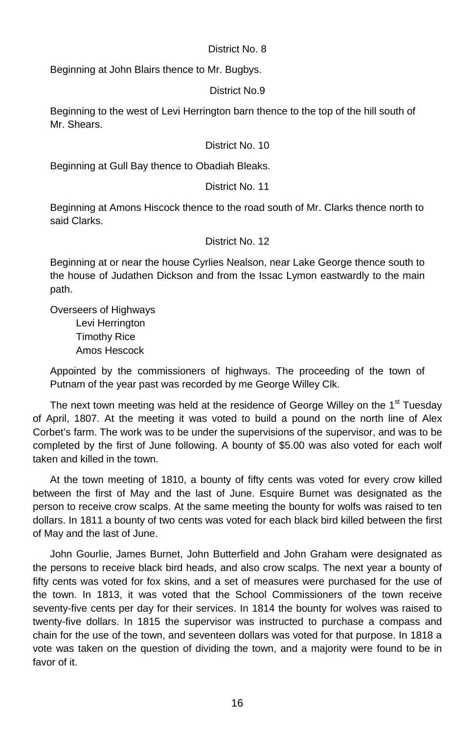# District No. 8

Beginning at John Blairs thence to Mr. Bugbys.

## District No.9

Beginning to the west of Levi Herrington barn thence to the top of the hill south of Mr. Shears.

# District No. 10

Beginning at Gull Bay thence to Obadiah Bleaks.

# District No. 11

Beginning at Amons Hiscock thence to the road south of Mr. Clarks thence north to said Clarks.

# District No. 12

Beginning at or near the house Cyrlies Nealson, near Lake George thence south to the house of Judathen Dickson and from the Issac Lymon eastwardly to the main path.

Overseers of Highways Levi Herrington Timothy Rice Amos Hescock

Appointed by the commissioners of highways. The proceeding of the town of Putnam of the year past was recorded by me George Willey Clk.

The next town meeting was held at the residence of George Willey on the  $1<sup>st</sup>$  Tuesday of April, 1807. At the meeting it was voted to build a pound on the north line of Alex Corbet's farm. The work was to be under the supervisions of the supervisor, and was to be completed by the first of June following. A bounty of \$5.00 was also voted for each wolf taken and killed in the town.

At the town meeting of 1810, a bounty of fifty cents was voted for every crow killed between the first of May and the last of June. Esquire Burnet was designated as the person to receive crow scalps. At the same meeting the bounty for wolfs was raised to ten dollars. In 1811 a bounty of two cents was voted for each black bird killed between the first of May and the last of June.

John Gourlie, James Burnet, John Butterfield and John Graham were designated as the persons to receive black bird heads, and also crow scalps. The next year a bounty of fifty cents was voted for fox skins, and a set of measures were purchased for the use of the town. In 1813, it was voted that the School Commissioners of the town receive seventy-five cents per day for their services. In 1814 the bounty for wolves was raised to twenty-five dollars. In 1815 the supervisor was instructed to purchase a compass and chain for the use of the town, and seventeen dollars was voted for that purpose. In 1818 a vote was taken on the question of dividing the town, and a majority were found to be in favor of it.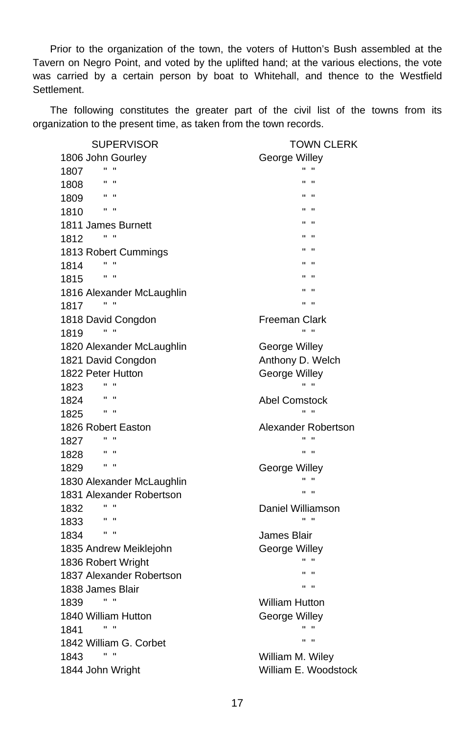Prior to the organization of the town, the voters of Hutton's Bush assembled at the Tavern on Negro Point, and voted by the uplifted hand; at the various elections, the vote was carried by a certain person by boat to Whitehall, and thence to the Westfield Settlement.

The following constitutes the greater part of the civil list of the towns from its organization to the present time, as taken from the town records.

**SUPERVISOR** 1806 John Gourley 1807 "<br>1808 " "  $1808$  " " 1809 1810 " " 1811 James Burnett 1812 " " 1813 Robert Cummings 1814 " " 1815 " " 1816 Alexander McLaughlin 1817 " " 1818 David Congdon 1819 " " 1820 Alexander McLaughlin 1821 David Congdon 1822 Peter Hutton 1823 " " 1824 " " 1825 " " 1826 Robert Easton  $1827$  " 1828 " "<br>1829 " " 1829 1830 Alexander McLaughlin 1831 Alexander Robertson  $1832$  " " 1833 1834 " " 1835 Andrew Meiklejohn 1836 Robert Wright 1837 Alexander Robertson 1838 James Blair 1839 " " 1840 William Hutton 1841 " " 1842 William G. Corbet 1843 " " 1844 John Wright TOWN CLERK George Willey " " " " " " " " " " " " " " " " " " " "  $" " " "$ Freeman Clark " " George Willey Anthony D. Welch George Willey " " Abel Comstock " " Alexander Robertson " " " " George Willey " " " " Daniel Williamson " " James Blair George Willey " " " "  $" " " " "$ William Hutton George Willey " "  $\mathbf{u} = \mathbf{u}$ William M. Wiley William E. Woodstock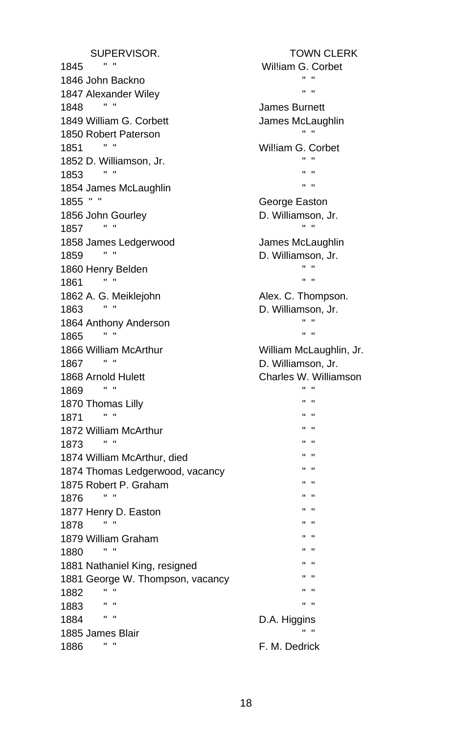SUPERVISOR. 1845 " " 1846 John Backno 1847 Alexander Wiley 1848 " " 1849 William G. Corbett 1850 Robert Paterson 1851 " " 1852 D. Williamson, Jr. 1853 " " 1854 James McLaughlin 1855 " " 1856 John Gourley 1857 " " 1858 James Ledgerwood 1859 " " 1860 Henry Belden 1861 " " 1862 A. G. Meiklejohn 1863 " " 1864 Anthony Anderson 1865 " " 1866 William McArthur 1867 " " 1868 Arnold Hulett 1869 " " 1870 Thomas Lilly 1871 " " 1872 William McArthur 1873 " " 1874 William McArthur, died 1874 Thomas Ledgerwood, vacancy 1875 Robert P. Graham 1876 " " 1877 Henry D. Easton 1878 " " 1879 William Graham 1880 " " 1881 Nathaniel King, resigned 1881 George W. Thompson, vacancy 1882 " " 1883 " " 1884 " " 1885 James Blair 1886 " " TOWN CLERK Wil!iam G. Corbet " " " " James Burnett James McLaughlin " " Wil!iam G. Corbet " " " " " " George Easton D. Williamson, Jr. " " James McLaughlin D. Williamson, Jr. " " " " Alex. C. Thompson. D. Williamson, Jr.  $\mathbf{u}=\mathbf{u}$  $" " " " " "$ William McLaughlin, Jr. D. Williamson, Jr. Charles W. Williamson " " " " " " " " " " " " " " " " " " " " " " " " " " " " " " " "  $\mathbf{u} = \mathbf{u}$ D.A. Higgins " " F. M. Dedrick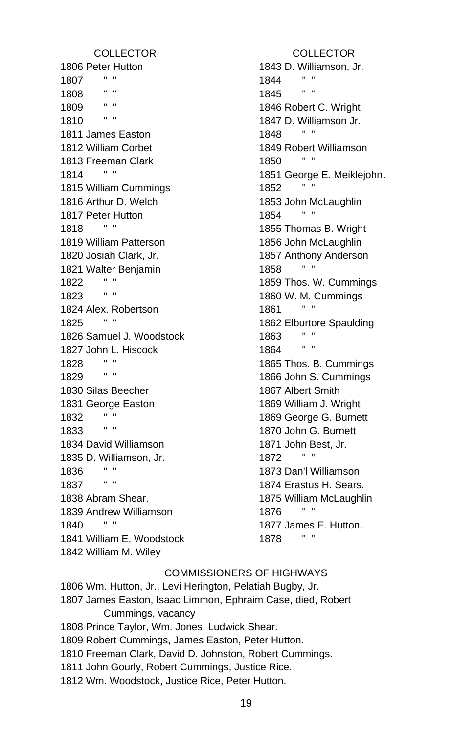COLLECTOR 1806 Peter Hutton 1807 " " 1808 " " 1809 " " 1810 " " 1811 James Easton 1812 William Corbet 1813 Freeman Clark 1814 " " 1815 William Cummings 1816 Arthur D. Welch 1817 Peter Hutton 1818 " " 1819 William Patterson 1820 Josiah Clark, Jr. 1821 Walter Benjamin 1822 " " 1823 " " 1824 Alex. Robertson 1825 " " 1826 Samuel J. Woodstock 1827 John L. Hiscock 1828 " " 1829 " " 1830 Silas Beecher 1831 George Easton  $1832$  " " 1833 1834 David Williamson 1835 D. Williamson, Jr. 1836 " " 1837 " " 1838 Abram Shear. 1839 Andrew Williamson 1840 " " 1841 William E. Woodstock 1842 William M. Wiley

COLLECTOR 1843 D. Williamson, Jr. 1844 " " 1845 " " 1846 Robert C. Wright 1847 D. Williamson Jr. 1848 " " 1849 Robert Williamson 1850 " " 1851 George E. Meiklejohn. 1852 1853 John McLaughlin 1854 " " 1855 Thomas B. Wright 1856 John McLaughlin 1857 Anthony Anderson 1858 " " 1859 Thos. W. Cummings 1860 W. M. Cummings 1861 " " 1862 Elburtore Spaulding 1863 " " 1864 " " 1865 Thos. B. Cummings 1866 John S. Cummings 1867 Albert Smith 1869 William J. Wright 1869 George G. Burnett 1870 John G. Burnett 1871 John Best, Jr. 1872 " " 1873 Dan'l Williamson 1874 Erastus H. Sears. 1875 William McLaughlin 1876 " " 1877 James E. Hutton. 1878 " "

# COMMISSIONERS OF HIGHWAYS

1806 Wm. Hutton, Jr., Levi Herington, Pelatiah Bugby, Jr. 1807 James Easton, Isaac Limmon, Ephraim Case, died, Robert Cummings, vacancy 1808 Prince Taylor, Wm. Jones, Ludwick Shear. 1809 Robert Cummings, James Easton, Peter Hutton. 1810 Freeman Clark, David D. Johnston, Robert Cummings. 1811 John Gourly, Robert Cummings, Justice Rice. 1812 Wm. Woodstock, Justice Rice, Peter Hutton.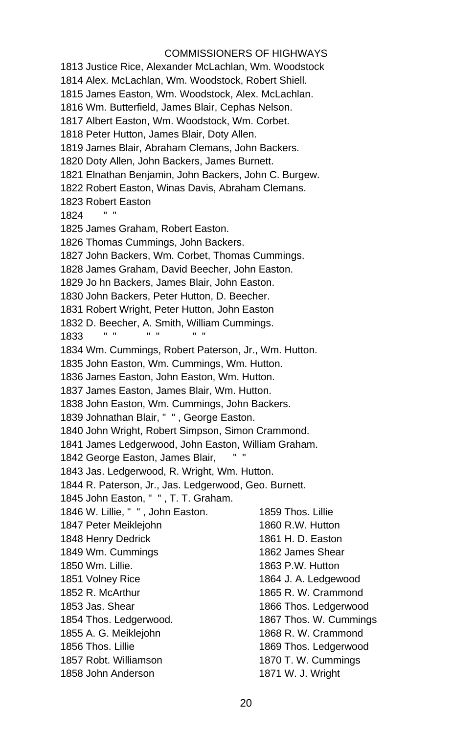## COMMISSIONERS OF HIGHWAYS

1813 Justice Rice, Alexander McLachlan, Wm. Woodstock 1814 Alex. McLachlan, Wm. Woodstock, Robert Shiell. 1815 James Easton, Wm. Woodstock, Alex. McLachlan. 1816 Wm. Butterfield, James Blair, Cephas Nelson. 1817 Albert Easton, Wm. Woodstock, Wm. Corbet. 1818 Peter Hutton, James Blair, Doty Allen. 1819 James Blair, Abraham Clemans, John Backers. 1820 Doty Allen, John Backers, James Burnett. 1821 Elnathan Benjamin, John Backers, John C. Burgew. 1822 Robert Easton, Winas Davis, Abraham Clemans. 1823 Robert Easton 1824 " " 1825 James Graham, Robert Easton. 1826 Thomas Cummings, John Backers. 1827 John Backers, Wm. Corbet, Thomas Cummings. 1828 James Graham, David Beecher, John Easton. 1829 Jo hn Backers, James Blair, John Easton. 1830 John Backers, Peter Hutton, D. Beecher. 1831 Robert Wright, Peter Hutton, John Easton 1832 D. Beecher, A. Smith, William Cummings. 1833 " " " " " " 1834 Wm. Cummings, Robert Paterson, Jr., Wm. Hutton. 1835 John Easton, Wm. Cummings, Wm. Hutton. 1836 James Easton, John Easton, Wm. Hutton. 1837 James Easton, James Blair, Wm. Hutton. 1838 John Easton, Wm. Cummings, John Backers. 1839 Johnathan Blair, " " , George Easton. 1840 John Wright, Robert Simpson, Simon Crammond. 1841 James Ledgerwood, John Easton, William Graham. 1842 George Easton, James Blair, 1843 Jas. Ledgerwood, R. Wright, Wm. Hutton. 1844 R. Paterson, Jr., Jas. Ledgerwood, Geo. Burnett. 1845 John Easton, " " , T. T. Graham. 1846 W. Lillie, " " , John Easton. 1847 Peter Meiklejohn 1848 Henry Dedrick 1849 Wm. Cummings 1850 Wm. Lillie. 1851 Volney Rice 1852 R. McArthur 1853 Jas. Shear 1854 Thos. Ledgerwood. 1855 A. G. Meiklejohn 1856 Thos. Lillie 1857 Robt. Williamson 1858 John Anderson 1859 Thos. Lillie 1860 R.W. Hutton 1861 H. D. Easton 1862 James Shear 1863 P.W. Hutton 1864 J. A. Ledgewood 1865 R. W. Crammond 1866 Thos. Ledgerwood 1867 Thos. W. Cummings 1868 R. W. Crammond 1869 Thos. Ledgerwood 1870 T. W. Cummings 1871 W. J. Wright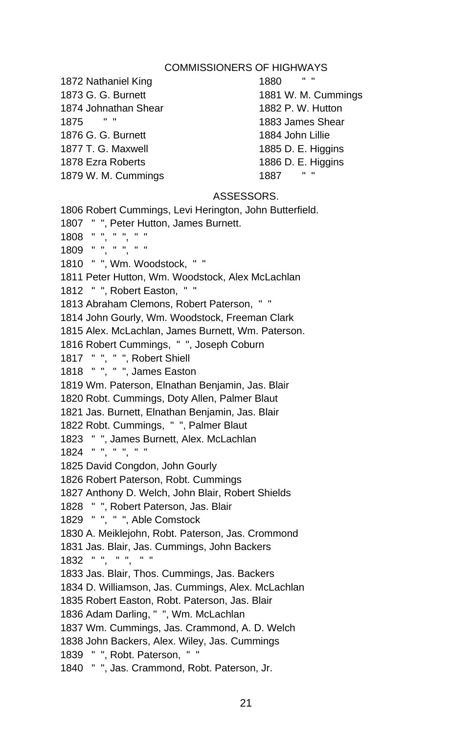## COMMISSIONERS OF HIGHWAYS

1872 Nathaniel King 1873 G. G. Burnett 1874 Johnathan Shear 1875 " " 1876 G. G. Burnett 1877 T. G. Maxwell 1878 Ezra Roberts 1879 W. M. Cummings

1880 " " 1881 W. M. Cummings 1882 P. W. Hutton 1883 James Shear 1884 John Lillie 1885 D. E. Higgins 1886 D. E. Higgins 1887 " "

## ASSESSORS.

1806 Robert Cummings, Levi Herington, John Butterfield. 1807 " ", Peter Hutton, James Burnett. 1808 " ", " ", " " 1809 " ", " ", " " 1810 " ", Wm. Woodstock, " " 1811 Peter Hutton, Wm. Woodstock, Alex McLachlan 1812 " ", Robert Easton, " " 1813 Abraham Clemons, Robert Paterson, " " 1814 John Gourly, Wm. Woodstock, Freeman Clark 1815 Alex. McLachlan, James Burnett, Wm. Paterson. 1816 Robert Cummings, " ", Joseph Coburn 1817 " ", " ", Robert Shiell 1818 " ", " ", James Easton 1819 Wm. Paterson, Elnathan Benjamin, Jas. Blair 1820 Robt. Cummings, Doty Allen, Palmer Blaut 1821 Jas. Burnett, Elnathan Benjamin, Jas. Blair 1822 Robt. Cummings, " ", Palmer Blaut 1823 " ", James Burnett, Alex. McLachlan 1824 " ", " ", " " 1825 David Congdon, John Gourly 1826 Robert Paterson, Robt. Cummings 1827 Anthony D. Welch, John Blair, Robert Shields 1828 " ", Robert Paterson, Jas. Blair 1829 " ", " ", Able Comstock 1830 A. Meiklejohn, Robt. Paterson, Jas. Crommond 1831 Jas. Blair, Jas. Cummings, John Backers 1832 " ", " ", " " 1833 Jas. Blair, Thos. Cummings, Jas. Backers 1834 D. Williamson, Jas. Cummings, Alex. McLachlan 1835 Robert Easton, Robt. Paterson, Jas. Blair 1836 Adam Darling, " ", Wm. McLachlan 1837 Wm. Cummings, Jas. Crammond, A. D. Welch 1838 John Backers, Alex. Wiley, Jas. Cummings 1839 " ", Robt. Paterson, " " 1840 " ", Jas. Crammond, Robt. Paterson, Jr.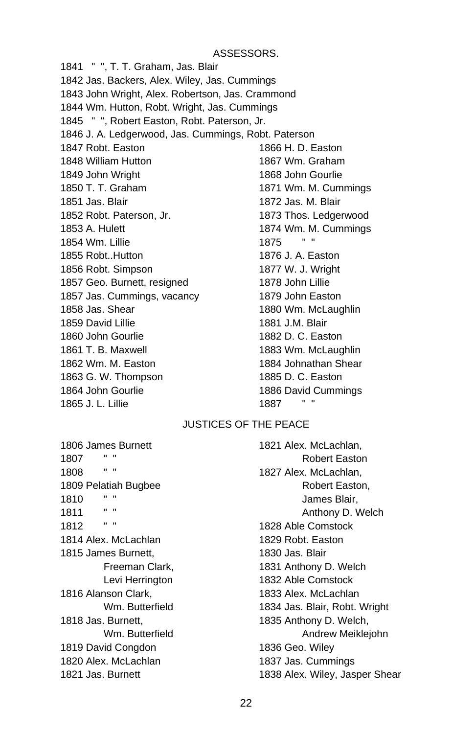## ASSESSORS.

1841 " ", T. T. Graham, Jas. Blair 1842 Jas. Backers, Alex. Wiley, Jas. Cummings 1843 John Wright, Alex. Robertson, Jas. Crammond 1844 Wm. Hutton, Robt. Wright, Jas. Cummings 1845 " ", Robert Easton, Robt. Paterson, Jr. 1846 J. A. Ledgerwood, Jas. Cummings, Robt. Paterson 1847 Robt. Easton 1848 William Hutton 1849 John Wright 1850 T. T. Graham 1851 Jas. Blair 1852 Robt. Paterson, Jr. 1853 A. Hulett 1854 Wm. Lillie 1855 Robt..Hutton 1856 Robt. Simpson 1857 Geo. Burnett, resigned 1857 Jas. Cummings, vacancy 1858 Jas. Shear 1859 David Lillie 1860 John Gourlie 1861 T. B. Maxwell 1862 Wm. M. Easton 1863 G. W. Thompson 1864 John Gourlie 1865 J. L. Lillie 1866 H. D. Easton 1867 Wm. Graham 1868 John Gourlie 1871 Wm. M. Cummings 1872 Jas. M. Blair 1873 Thos. Ledgerwood 1874 Wm. M. Cummings 1875 1876 J. A. Easton 1877 W. J. Wright 1878 John Lillie 1879 John Easton 1880 Wm. McLaughlin 1881 J.M. Blair 1882 D. C. Easton 1883 Wm. McLaughlin 1884 Johnathan Shear 1885 D. C. Easton 1886 David Cummings 1887 " "

## JUSTICES OF THE PEACE

1806 James Burnett 1807 " " 1808 " " 1809 Pelatiah Bugbee  $1810$  " " 1811 1812 " " 1814 Alex. McLachlan 1815 James Burnett, Freeman Clark, Levi Herrington 1816 Alanson Clark, Wm. Butterfield 1818 Jas. Burnett, Wm. Butterfield 1819 David Congdon 1820 Alex. McLachlan 1821 Jas. Burnett

1821 Alex. McLachlan, Robert Easton 1827 Alex. McLachlan, Robert Easton, James Blair, Anthony D. Welch 1828 Able Comstock 1829 Robt. Easton 1830 Jas. Blair 1831 Anthony D. Welch 1832 Able Comstock 1833 Alex. McLachlan 1834 Jas. Blair, Robt. Wright 1835 Anthony D. Welch, Andrew Meiklejohn 1836 Geo. Wiley 1837 Jas. Cummings 1838 Alex. Wiley, Jasper Shear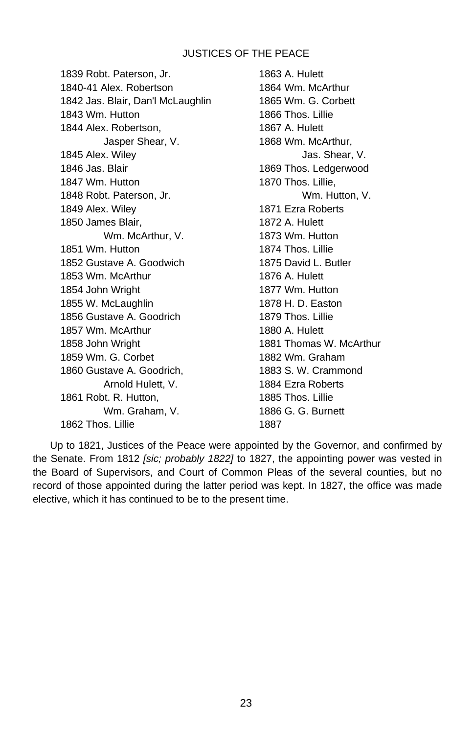# JUSTICES OF THE PEACE

1839 Robt. Paterson, Jr. 1840-41 Alex. Robertson 1842 Jas. Blair, Dan'l McLaughlin 1843 Wm. Hutton 1844 Alex. Robertson, Jasper Shear, V. 1845 Alex. Wiley 1846 Jas. Blair 1847 Wm. Hutton 1848 Robt. Paterson, Jr. 1849 Alex. Wiley 1850 James Blair, Wm. McArthur, V. 1851 Wm. Hutton 1852 Gustave A. Goodwich 1853 Wm. McArthur 1854 John Wright 1855 W. McLaughlin 1856 Gustave A. Goodrich 1857 Wm. McArthur 1858 John Wright 1859 Wm. G. Corbet 1860 Gustave A. Goodrich, Arnold Hulett, V. 1861 Robt. R. Hutton, Wm. Graham, V. 1862 Thos. Lillie

1863 A. Hulett 1864 Wm. McArthur 1865 Wm. G. Corbett 1866 Thos. Lillie 1867 A. Hulett 1868 Wm. McArthur, Jas. Shear, V. 1869 Thos. Ledgerwood 1870 Thos. Lillie, Wm. Hutton, V. 1871 Ezra Roberts 1872 A. Hulett 1873 Wm. Hutton 1874 Thos. Lillie 1875 David L. Butler 1876 A. Hulett 1877 Wm. Hutton 1878 H. D. Easton 1879 Thos. Lillie 1880 A. Hulett 1881 Thomas W. McArthur 1882 Wm. Graham 1883 S. W. Crammond 1884 Ezra Roberts 1885 Thos. Lillie 1886 G. G. Burnett 1887

Up to 1821, Justices of the Peace were appointed by the Governor, and confirmed by the Senate. From 1812 *[sic; probably 1822]* to 1827, the appointing power was vested in the Board of Supervisors, and Court of Common Pleas of the several counties, but no record of those appointed during the latter period was kept. In 1827, the office was made elective, which it has continued to be to the present time.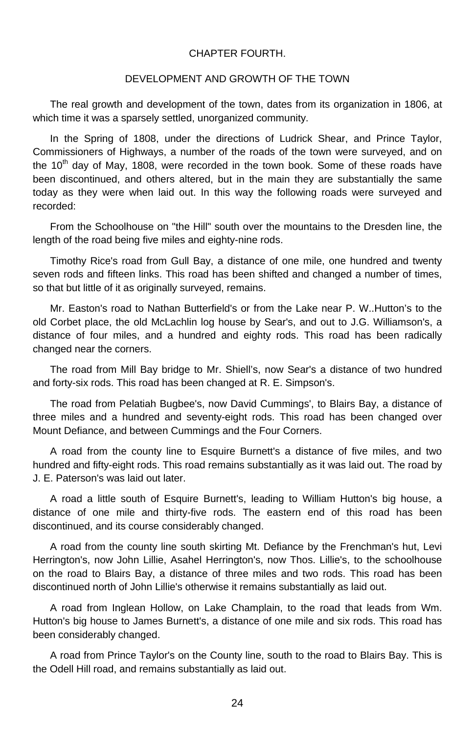#### CHAPTER FOURTH.

## DEVELOPMENT AND GROWTH OF THE TOWN

The real growth and development of the town, dates from its organization in 1806, at which time it was a sparsely settled, unorganized community.

In the Spring of 1808, under the directions of Ludrick Shear, and Prince Taylor, Commissioners of Highways, a number of the roads of the town were surveyed, and on the  $10<sup>th</sup>$  day of May, 1808, were recorded in the town book. Some of these roads have been discontinued, and others altered, but in the main they are substantially the same today as they were when laid out. In this way the following roads were surveyed and recorded:

From the Schoolhouse on "the Hill" south over the mountains to the Dresden line, the length of the road being five miles and eighty-nine rods.

Timothy Rice's road from Gull Bay, a distance of one mile, one hundred and twenty seven rods and fifteen links. This road has been shifted and changed a number of times, so that but little of it as originally surveyed, remains.

Mr. Easton's road to Nathan Butterfield's or from the Lake near P. W..Hutton's to the old Corbet place, the old McLachlin log house by Sear's, and out to J.G. Williamson's, a distance of four miles, and a hundred and eighty rods. This road has been radically changed near the corners.

The road from Mill Bay bridge to Mr. Shiell's, now Sear's a distance of two hundred and forty-six rods. This road has been changed at R. E. Simpson's.

The road from Pelatiah Bugbee's, now David Cummings', to Blairs Bay, a distance of three miles and a hundred and seventy-eight rods. This road has been changed over Mount Defiance, and between Cummings and the Four Corners.

A road from the county line to Esquire Burnett's a distance of five miles, and two hundred and fifty-eight rods. This road remains substantially as it was laid out. The road by J. E. Paterson's was laid out later.

A road a little south of Esquire Burnett's, leading to William Hutton's big house, a distance of one mile and thirty-five rods. The eastern end of this road has been discontinued, and its course considerably changed.

A road from the county line south skirting Mt. Defiance by the Frenchman's hut, Levi Herrington's, now John Lillie, Asahel Herrington's, now Thos. Lillie's, to the schoolhouse on the road to Blairs Bay, a distance of three miles and two rods. This road has been discontinued north of John Lillie's otherwise it remains substantially as laid out.

A road from Inglean Hollow, on Lake Champlain, to the road that leads from Wm. Hutton's big house to James Burnett's, a distance of one mile and six rods. This road has been considerably changed.

A road from Prince Taylor's on the County line, south to the road to Blairs Bay. This is the Odell Hill road, and remains substantially as laid out.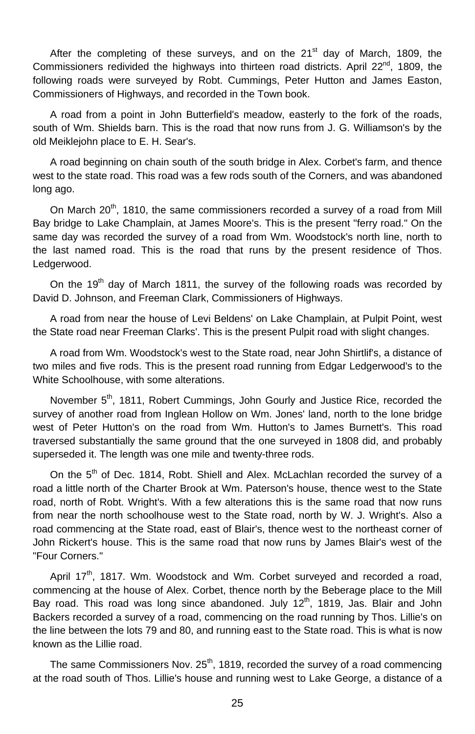After the completing of these surveys, and on the  $21<sup>st</sup>$  day of March, 1809, the Commissioners redivided the highways into thirteen road districts. April  $22^{nd}$ , 1809, the following roads were surveyed by Robt. Cummings, Peter Hutton and James Easton, Commissioners of Highways, and recorded in the Town book.

A road from a point in John Butterfield's meadow, easterly to the fork of the roads, south of Wm. Shields barn. This is the road that now runs from J. G. Williamson's by the old Meiklejohn place to E. H. Sear's.

A road beginning on chain south of the south bridge in Alex. Corbet's farm, and thence west to the state road. This road was a few rods south of the Corners, and was abandoned long ago.

On March  $20<sup>th</sup>$ , 1810, the same commissioners recorded a survey of a road from Mill Bay bridge to Lake Champlain, at James Moore's. This is the present "ferry road." On the same day was recorded the survey of a road from Wm. Woodstock's north line, north to the last named road. This is the road that runs by the present residence of Thos. Ledgerwood.

On the 19<sup>th</sup> day of March 1811, the survey of the following roads was recorded by David D. Johnson, and Freeman Clark, Commissioners of Highways.

A road from near the house of Levi Beldens' on Lake Champlain, at Pulpit Point, west the State road near Freeman Clarks'. This is the present Pulpit road with slight changes.

A road from Wm. Woodstock's west to the State road, near John Shirtlif's, a distance of two miles and five rods. This is the present road running from Edgar Ledgerwood's to the White Schoolhouse, with some alterations.

November 5<sup>th</sup>, 1811, Robert Cummings, John Gourly and Justice Rice, recorded the survey of another road from Inglean Hollow on Wm. Jones' land, north to the lone bridge west of Peter Hutton's on the road from Wm. Hutton's to James Burnett's. This road traversed substantially the same ground that the one surveyed in 1808 did, and probably superseded it. The length was one mile and twenty-three rods.

On the  $5<sup>th</sup>$  of Dec. 1814, Robt. Shiell and Alex. McLachlan recorded the survey of a road a little north of the Charter Brook at Wm. Paterson's house, thence west to the State road, north of Robt. Wright's. With a few alterations this is the same road that now runs from near the north schoolhouse west to the State road, north by W. J. Wright's. Also a road commencing at the State road, east of Blair's, thence west to the northeast corner of John Rickert's house. This is the same road that now runs by James Blair's west of the "Four Corners."

April 17<sup>th</sup>, 1817. Wm. Woodstock and Wm. Corbet surveyed and recorded a road, commencing at the house of Alex. Corbet, thence north by the Beberage place to the Mill Bay road. This road was long since abandoned. July  $12<sup>th</sup>$ , 1819, Jas. Blair and John Backers recorded a survey of a road, commencing on the road running by Thos. Lillie's on the line between the lots 79 and 80, and running east to the State road. This is what is now known as the Lillie road.

The same Commissioners Nov.  $25<sup>th</sup>$ , 1819, recorded the survey of a road commencing at the road south of Thos. Lillie's house and running west to Lake George, a distance of a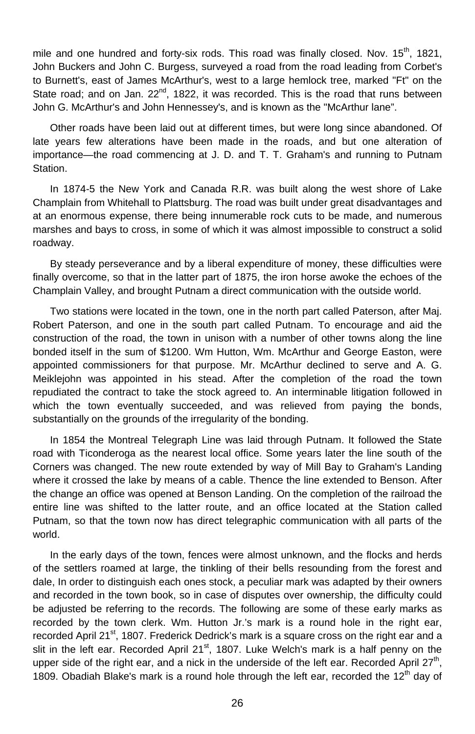mile and one hundred and forty-six rods. This road was finally closed. Nov.  $15<sup>th</sup>$ , 1821, John Buckers and John C. Burgess, surveyed a road from the road leading from Corbet's to Burnett's, east of James McArthur's, west to a large hemlock tree, marked "Ft" on the State road; and on Jan.  $22^{\text{nd}}$ , 1822, it was recorded. This is the road that runs between John G. McArthur's and John Hennessey's, and is known as the "McArthur lane".

Other roads have been laid out at different times, but were long since abandoned. Of late years few alterations have been made in the roads, and but one alteration of importance—the road commencing at J. D. and T. T. Graham's and running to Putnam Station.

In 1874-5 the New York and Canada R.R. was built along the west shore of Lake Champlain from Whitehall to Plattsburg. The road was built under great disadvantages and at an enormous expense, there being innumerable rock cuts to be made, and numerous marshes and bays to cross, in some of which it was almost impossible to construct a solid roadway.

By steady perseverance and by a liberal expenditure of money, these difficulties were finally overcome, so that in the latter part of 1875, the iron horse awoke the echoes of the Champlain Valley, and brought Putnam a direct communication with the outside world.

Two stations were located in the town, one in the north part called Paterson, after Maj. Robert Paterson, and one in the south part called Putnam. To encourage and aid the construction of the road, the town in unison with a number of other towns along the line bonded itself in the sum of \$1200. Wm Hutton, Wm. McArthur and George Easton, were appointed commissioners for that purpose. Mr. McArthur declined to serve and A. G. Meiklejohn was appointed in his stead. After the completion of the road the town repudiated the contract to take the stock agreed to. An interminable litigation followed in which the town eventually succeeded, and was relieved from paying the bonds, substantially on the grounds of the irregularity of the bonding.

In 1854 the Montreal Telegraph Line was laid through Putnam. It followed the State road with Ticonderoga as the nearest local office. Some years later the line south of the Corners was changed. The new route extended by way of Mill Bay to Graham's Landing where it crossed the lake by means of a cable. Thence the line extended to Benson. After the change an office was opened at Benson Landing. On the completion of the railroad the entire line was shifted to the latter route, and an office located at the Station called Putnam, so that the town now has direct telegraphic communication with all parts of the world.

In the early days of the town, fences were almost unknown, and the flocks and herds of the settlers roamed at large, the tinkling of their bells resounding from the forest and dale, In order to distinguish each ones stock, a peculiar mark was adapted by their owners and recorded in the town book, so in case of disputes over ownership, the difficulty could be adjusted be referring to the records. The following are some of these early marks as recorded by the town clerk. Wm. Hutton Jr.'s mark is a round hole in the right ear, recorded April 21<sup>st</sup>, 1807. Frederick Dedrick's mark is a square cross on the right ear and a slit in the left ear. Recorded April 21<sup>st</sup>, 1807. Luke Welch's mark is a half penny on the upper side of the right ear, and a nick in the underside of the left ear. Recorded April 27<sup>th</sup>, 1809. Obadiah Blake's mark is a round hole through the left ear, recorded the  $12<sup>th</sup>$  day of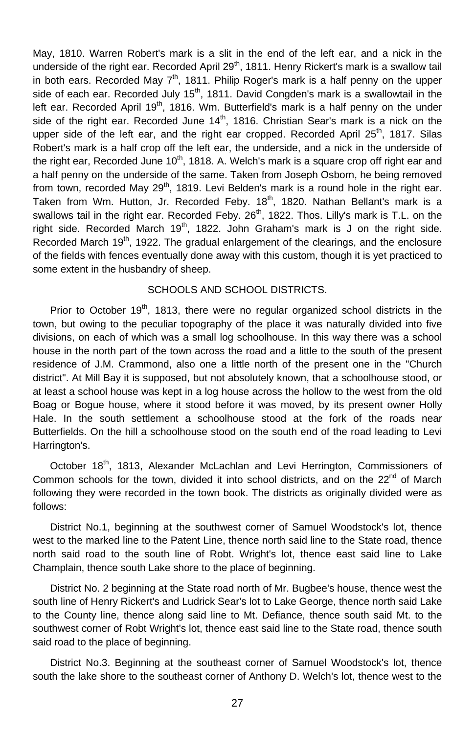May, 1810. Warren Robert's mark is a slit in the end of the left ear, and a nick in the underside of the right ear. Recorded April 29<sup>th</sup>, 1811. Henry Rickert's mark is a swallow tail in both ears. Recorded May  $7<sup>th</sup>$ , 1811. Philip Roger's mark is a half penny on the upper side of each ear. Recorded July 15<sup>th</sup>, 1811. David Congden's mark is a swallowtail in the left ear. Recorded April  $19<sup>th</sup>$ , 1816. Wm. Butterfield's mark is a half penny on the under side of the right ear. Recorded June  $14<sup>th</sup>$ , 1816. Christian Sear's mark is a nick on the upper side of the left ear, and the right ear cropped. Recorded April  $25<sup>th</sup>$ , 1817. Silas Robert's mark is a half crop off the left ear, the underside, and a nick in the underside of the right ear, Recorded June  $10<sup>th</sup>$ , 1818. A. Welch's mark is a square crop off right ear and a half penny on the underside of the same. Taken from Joseph Osborn, he being removed from town, recorded May 29<sup>th</sup>, 1819. Levi Belden's mark is a round hole in the right ear. Taken from Wm. Hutton, Jr. Recorded Feby. 18<sup>th</sup>, 1820. Nathan Bellant's mark is a swallows tail in the right ear. Recorded Feby. 26<sup>th</sup>, 1822. Thos. Lilly's mark is T.L. on the right side. Recorded March  $19<sup>th</sup>$ , 1822. John Graham's mark is J on the right side. Recorded March 19<sup>th</sup>, 1922. The gradual enlargement of the clearings, and the enclosure of the fields with fences eventually done away with this custom, though it is yet practiced to some extent in the husbandry of sheep.

# SCHOOLS AND SCHOOL DISTRICTS.

Prior to October 19<sup>th</sup>, 1813, there were no regular organized school districts in the town, but owing to the peculiar topography of the place it was naturally divided into five divisions, on each of which was a small log schoolhouse. In this way there was a school house in the north part of the town across the road and a little to the south of the present residence of J.M. Crammond, also one a little north of the present one in the "Church district". At Mill Bay it is supposed, but not absolutely known, that a schoolhouse stood, or at least a school house was kept in a log house across the hollow to the west from the old Boag or Bogue house, where it stood before it was moved, by its present owner Holly Hale. In the south settlement a schoolhouse stood at the fork of the roads near Butterfields. On the hill a schoolhouse stood on the south end of the road leading to Levi Harrington's.

October 18<sup>th</sup>, 1813, Alexander McLachlan and Levi Herrington, Commissioners of Common schools for the town, divided it into school districts, and on the  $22^{nd}$  of March following they were recorded in the town book. The districts as originally divided were as follows:

District No.1, beginning at the southwest corner of Samuel Woodstock's lot, thence west to the marked line to the Patent Line, thence north said line to the State road, thence north said road to the south line of Robt. Wright's lot, thence east said line to Lake Champlain, thence south Lake shore to the place of beginning.

District No. 2 beginning at the State road north of Mr. Bugbee's house, thence west the south line of Henry Rickert's and Ludrick Sear's lot to Lake George, thence north said Lake to the County line, thence along said line to Mt. Defiance, thence south said Mt. to the southwest corner of Robt Wright's lot, thence east said line to the State road, thence south said road to the place of beginning.

District No.3. Beginning at the southeast corner of Samuel Woodstock's lot, thence south the lake shore to the southeast corner of Anthony D. Welch's lot, thence west to the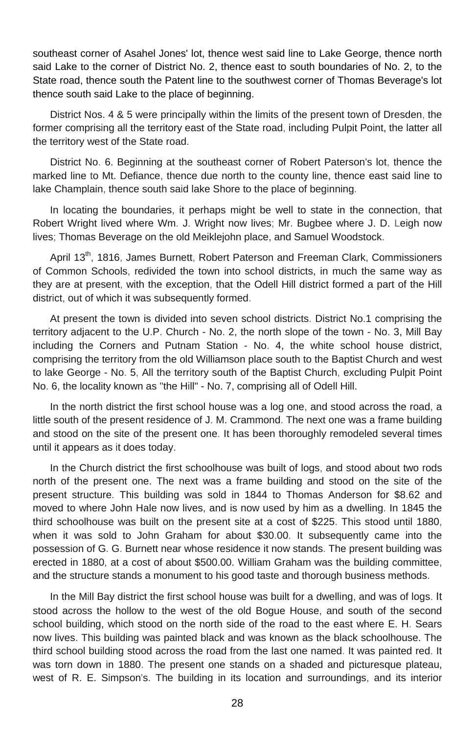southeast corner of Asahel Jones' lot, thence west said line to Lake George, thence north said Lake to the corner of District No. 2, thence east to south boundaries of No. 2, to the State road, thence south the Patent line to the southwest corner of Thomas Beverage's lot thence south said Lake to the place of beginning.

District Nos. 4 & 5 were principally within the limits of the present town of Dresden, the former comprising all the territory east of the State road, including Pulpit Point, the latter all the territory west of the State road.

District No. 6. Beginning at the southeast corner of Robert Paterson's lot, thence the marked line to Mt. Defiance, thence due north to the county line, thence east said line to lake Champlain, thence south said lake Shore to the place of beginning.

In locating the boundaries, it perhaps might be well to state in the connection, that Robert Wright lived where Wm. J. Wright now lives; Mr. Bugbee where J. D. Leigh now lives; Thomas Beverage on the old Meiklejohn place, and Samuel Woodstock.

April 13<sup>th</sup>, 1816, James Burnett, Robert Paterson and Freeman Clark, Commissioners of Common Schools, redivided the town into school districts, in much the same way as they are at present, with the exception, that the Odell Hill district formed a part of the Hill district, out of which it was subsequently formed.

At present the town is divided into seven school districts. District No.1 comprising the territory adjacent to the U.P. Church - No. 2, the north slope of the town - No. 3, Mill Bay including the Corners and Putnam Station - No. 4, the white school house district, comprising the territory from the old Williamson place south to the Baptist Church and west to lake George - No. 5, All the territory south of the Baptist Church, excluding Pulpit Point No. 6, the locality known as "the Hill" - No. 7, comprising all of Odell Hill.

In the north district the first school house was a log one, and stood across the road, a little south of the present residence of J. M. Crammond. The next one was a frame building and stood on the site of the present one. It has been thoroughly remodeled several times until it appears as it does today.

In the Church district the first schoolhouse was built of logs, and stood about two rods north of the present one. The next was a frame building and stood on the site of the present structure. This building was sold in 1844 to Thomas Anderson for \$8.62 and moved to where John Hale now lives, and is now used by him as a dwelling. In 1845 the third schoolhouse was built on the present site at a cost of \$225. This stood until 1880, when it was sold to John Graham for about \$30.00. It subsequently came into the possession of G. G. Burnett near whose residence it now stands. The present building was erected in 1880, at a cost of about \$500.00. William Graham was the building committee, and the structure stands a monument to his good taste and thorough business methods.

In the Mill Bay district the first school house was built for a dwelling, and was of logs. It stood across the hollow to the west of the old Bogue House, and south of the second school building, which stood on the north side of the road to the east where E. H. Sears now lives. This building was painted black and was known as the black schoolhouse. The third school building stood across the road from the last one named. It was painted red. It was torn down in 1880. The present one stands on a shaded and picturesque plateau, west of R. E. Simpson's. The building in its location and surroundings, and its interior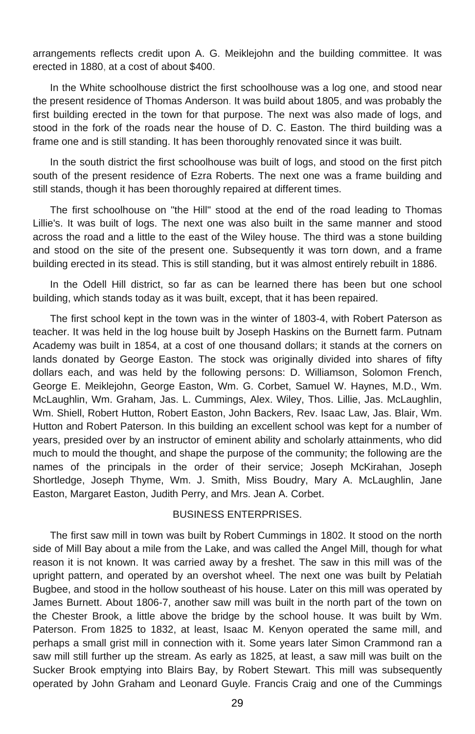arrangements reflects credit upon A. G. Meiklejohn and the building committee. It was erected in 1880, at a cost of about \$400.

In the White schoolhouse district the first schoolhouse was a log one, and stood near the present residence of Thomas Anderson. It was build about 1805, and was probably the first building erected in the town for that purpose. The next was also made of logs, and stood in the fork of the roads near the house of D. C. Easton. The third building was a frame one and is still standing. It has been thoroughly renovated since it was built.

In the south district the first schoolhouse was built of logs, and stood on the first pitch south of the present residence of Ezra Roberts. The next one was a frame building and still stands, though it has been thoroughly repaired at different times.

The first schoolhouse on "the Hill" stood at the end of the road leading to Thomas Lillie's. It was built of logs. The next one was also built in the same manner and stood across the road and a little to the east of the Wiley house. The third was a stone building and stood on the site of the present one. Subsequently it was torn down, and a frame building erected in its stead. This is still standing, but it was almost entirely rebuilt in 1886.

In the Odell Hill district, so far as can be learned there has been but one school building, which stands today as it was built, except, that it has been repaired.

The first school kept in the town was in the winter of 1803-4, with Robert Paterson as teacher. It was held in the log house built by Joseph Haskins on the Burnett farm. Putnam Academy was built in 1854, at a cost of one thousand dollars; it stands at the corners on lands donated by George Easton. The stock was originally divided into shares of fifty dollars each, and was held by the following persons: D. Williamson, Solomon French, George E. Meiklejohn, George Easton, Wm. G. Corbet, Samuel W. Haynes, M.D., Wm. McLaughlin, Wm. Graham, Jas. L. Cummings, Alex. Wiley, Thos. Lillie, Jas. McLaughlin, Wm. Shiell, Robert Hutton, Robert Easton, John Backers, Rev. Isaac Law, Jas. Blair, Wm. Hutton and Robert Paterson. In this building an excellent school was kept for a number of years, presided over by an instructor of eminent ability and scholarly attainments, who did much to mould the thought, and shape the purpose of the community; the following are the names of the principals in the order of their service; Joseph McKirahan, Joseph Shortledge, Joseph Thyme, Wm. J. Smith, Miss Boudry, Mary A. McLaughlin, Jane Easton, Margaret Easton, Judith Perry, and Mrs. Jean A. Corbet.

## BUSINESS ENTERPRISES.

The first saw mill in town was built by Robert Cummings in 1802. It stood on the north side of Mill Bay about a mile from the Lake, and was called the Angel Mill, though for what reason it is not known. It was carried away by a freshet. The saw in this mill was of the upright pattern, and operated by an overshot wheel. The next one was built by Pelatiah Bugbee, and stood in the hollow southeast of his house. Later on this mill was operated by James Burnett. About 1806-7, another saw mill was built in the north part of the town on the Chester Brook, a little above the bridge by the school house. It was built by Wm. Paterson. From 1825 to 1832, at least, Isaac M. Kenyon operated the same mill, and perhaps a small grist mill in connection with it. Some years later Simon Crammond ran a saw mill still further up the stream. As early as 1825, at least, a saw mill was built on the Sucker Brook emptying into Blairs Bay, by Robert Stewart. This mill was subsequently operated by John Graham and Leonard Guyle. Francis Craig and one of the Cummings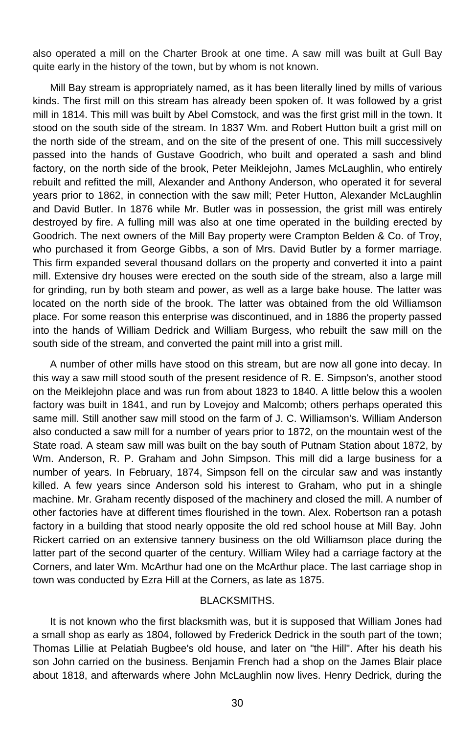also operated a mill on the Charter Brook at one time. A saw mill was built at Gull Bay quite early in the history of the town, but by whom is not known.

Mill Bay stream is appropriately named, as it has been literally lined by mills of various kinds. The first mill on this stream has already been spoken of. It was followed by a grist mill in 1814. This mill was built by Abel Comstock, and was the first grist mill in the town. It stood on the south side of the stream. In 1837 Wm. and Robert Hutton built a grist mill on the north side of the stream, and on the site of the present of one. This mill successively passed into the hands of Gustave Goodrich, who built and operated a sash and blind factory, on the north side of the brook, Peter Meiklejohn, James McLaughlin, who entirely rebuilt and refitted the mill, Alexander and Anthony Anderson, who operated it for several years prior to 1862, in connection with the saw mill; Peter Hutton, Alexander McLaughlin and David Butler. In 1876 while Mr. Butler was in possession, the grist mill was entirely destroyed by fire. A fulling mill was also at one time operated in the building erected by Goodrich. The next owners of the Mill Bay property were Crampton Belden & Co. of Troy, who purchased it from George Gibbs, a son of Mrs. David Butler by a former marriage. This firm expanded several thousand dollars on the property and converted it into a paint mill. Extensive dry houses were erected on the south side of the stream, also a large mill for grinding, run by both steam and power, as well as a large bake house. The latter was located on the north side of the brook. The latter was obtained from the old Williamson place. For some reason this enterprise was discontinued, and in 1886 the property passed into the hands of William Dedrick and William Burgess, who rebuilt the saw mill on the south side of the stream, and converted the paint mill into a grist mill.

A number of other mills have stood on this stream, but are now all gone into decay. In this way a saw mill stood south of the present residence of R. E. Simpson's, another stood on the Meiklejohn place and was run from about 1823 to 1840. A little below this a woolen factory was built in 1841, and run by Lovejoy and Malcomb; others perhaps operated this same mill. Still another saw mill stood on the farm of J. C. Williamson's. William Anderson also conducted a saw mill for a number of years prior to 1872, on the mountain west of the State road. A steam saw mill was built on the bay south of Putnam Station about 1872, by Wm. Anderson, R. P. Graham and John Simpson. This mill did a large business for a number of years. In February, 1874, Simpson fell on the circular saw and was instantly killed. A few years since Anderson sold his interest to Graham, who put in a shingle machine. Mr. Graham recently disposed of the machinery and closed the mill. A number of other factories have at different times flourished in the town. Alex. Robertson ran a potash factory in a building that stood nearly opposite the old red school house at Mill Bay. John Rickert carried on an extensive tannery business on the old Williamson place during the latter part of the second quarter of the century. William Wiley had a carriage factory at the Corners, and later Wm. McArthur had one on the McArthur place. The last carriage shop in town was conducted by Ezra Hill at the Corners, as late as 1875.

## BLACKSMITHS.

It is not known who the first blacksmith was, but it is supposed that William Jones had a small shop as early as 1804, followed by Frederick Dedrick in the south part of the town; Thomas Lillie at Pelatiah Bugbee's old house, and later on "the Hill". After his death his son John carried on the business. Benjamin French had a shop on the James Blair place about 1818, and afterwards where John McLaughlin now lives. Henry Dedrick, during the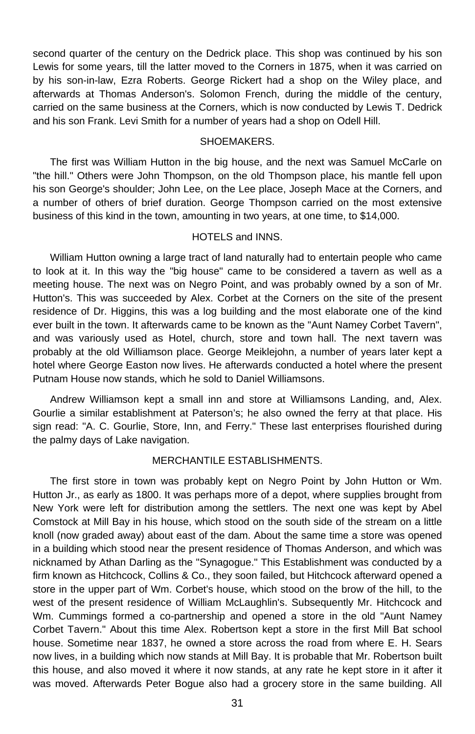second quarter of the century on the Dedrick place. This shop was continued by his son Lewis for some years, till the latter moved to the Corners in 1875, when it was carried on by his son-in-law, Ezra Roberts. George Rickert had a shop on the Wiley place, and afterwards at Thomas Anderson's. Solomon French, during the middle of the century, carried on the same business at the Corners, which is now conducted by Lewis T. Dedrick and his son Frank. Levi Smith for a number of years had a shop on Odell Hill.

## SHOEMAKERS.

The first was William Hutton in the big house, and the next was Samuel McCarle on "the hill." Others were John Thompson, on the old Thompson place, his mantle fell upon his son George's shoulder; John Lee, on the Lee place, Joseph Mace at the Corners, and a number of others of brief duration. George Thompson carried on the most extensive business of this kind in the town, amounting in two years, at one time, to \$14,000.

## HOTELS and INNS.

William Hutton owning a large tract of land naturally had to entertain people who came to look at it. In this way the "big house" came to be considered a tavern as well as a meeting house. The next was on Negro Point, and was probably owned by a son of Mr. Hutton's. This was succeeded by Alex. Corbet at the Corners on the site of the present residence of Dr. Higgins, this was a log building and the most elaborate one of the kind ever built in the town. It afterwards came to be known as the "Aunt Namey Corbet Tavern", and was variously used as Hotel, church, store and town hall. The next tavern was probably at the old Williamson place. George Meiklejohn, a number of years later kept a hotel where George Easton now lives. He afterwards conducted a hotel where the present Putnam House now stands, which he sold to Daniel Williamsons.

Andrew Williamson kept a small inn and store at Williamsons Landing, and, Alex. Gourlie a similar establishment at Paterson's; he also owned the ferry at that place. His sign read: "A. C. Gourlie, Store, Inn, and Ferry." These last enterprises flourished during the palmy days of Lake navigation.

#### MERCHANTILE ESTABLISHMENTS.

The first store in town was probably kept on Negro Point by John Hutton or Wm. Hutton Jr., as early as 1800. It was perhaps more of a depot, where supplies brought from New York were left for distribution among the settlers. The next one was kept by Abel Comstock at Mill Bay in his house, which stood on the south side of the stream on a little knoll (now graded away) about east of the dam. About the same time a store was opened in a building which stood near the present residence of Thomas Anderson, and which was nicknamed by Athan Darling as the "Synagogue." This Establishment was conducted by a firm known as Hitchcock, Collins & Co., they soon failed, but Hitchcock afterward opened a store in the upper part of Wm. Corbet's house, which stood on the brow of the hill, to the west of the present residence of William McLaughlin's. Subsequently Mr. Hitchcock and Wm. Cummings formed a co-partnership and opened a store in the old "Aunt Namey Corbet Tavern." About this time Alex. Robertson kept a store in the first Mill Bat school house. Sometime near 1837, he owned a store across the road from where E. H. Sears now lives, in a building which now stands at Mill Bay. It is probable that Mr. Robertson built this house, and also moved it where it now stands, at any rate he kept store in it after it was moved. Afterwards Peter Bogue also had a grocery store in the same building. All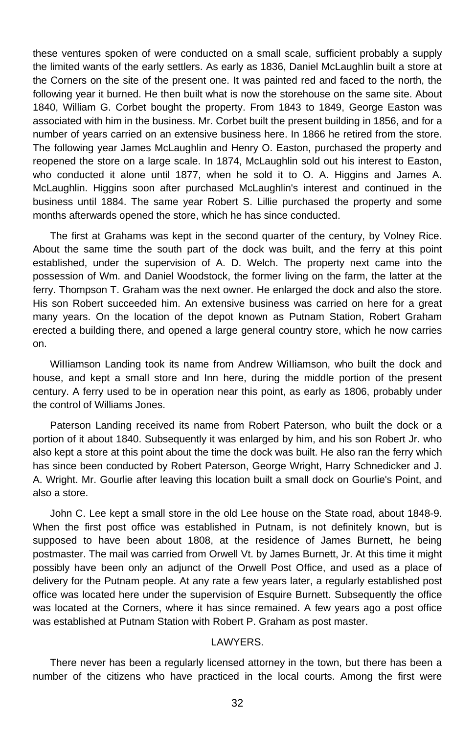these ventures spoken of were conducted on a small scale, sufficient probably a supply the limited wants of the early settlers. As early as 1836, Daniel McLaughlin built a store at the Corners on the site of the present one. It was painted red and faced to the north, the following year it burned. He then built what is now the storehouse on the same site. About 1840, William G. Corbet bought the property. From 1843 to 1849, George Easton was associated with him in the business. Mr. Corbet built the present building in 1856, and for a number of years carried on an extensive business here. In 1866 he retired from the store. The following year James McLaughlin and Henry O. Easton, purchased the property and reopened the store on a large scale. In 1874, McLaughlin sold out his interest to Easton, who conducted it alone until 1877, when he sold it to O. A. Higgins and James A. McLaughlin. Higgins soon after purchased McLaughlin's interest and continued in the business until 1884. The same year Robert S. Lillie purchased the property and some months afterwards opened the store, which he has since conducted.

The first at Grahams was kept in the second quarter of the century, by Volney Rice. About the same time the south part of the dock was built, and the ferry at this point established, under the supervision of A. D. Welch. The property next came into the possession of Wm. and Daniel Woodstock, the former living on the farm, the latter at the ferry. Thompson T. Graham was the next owner. He enlarged the dock and also the store. His son Robert succeeded him. An extensive business was carried on here for a great many years. On the location of the depot known as Putnam Station, Robert Graham erected a building there, and opened a large general country store, which he now carries on.

WiIIiamson Landing took its name from Andrew WiIIiamson, who built the dock and house, and kept a small store and Inn here, during the middle portion of the present century. A ferry used to be in operation near this point, as early as 1806, probably under the control of Williams Jones.

Paterson Landing received its name from Robert Paterson, who built the dock or a portion of it about 1840. Subsequently it was enlarged by him, and his son Robert Jr. who also kept a store at this point about the time the dock was built. He also ran the ferry which has since been conducted by Robert Paterson, George Wright, Harry Schnedicker and J. A. Wright. Mr. Gourlie after leaving this location built a small dock on Gourlie's Point, and also a store.

John C. Lee kept a small store in the old Lee house on the State road, about 1848-9. When the first post office was established in Putnam, is not definitely known, but is supposed to have been about 1808, at the residence of James Burnett, he being postmaster. The mail was carried from Orwell Vt. by James Burnett, Jr. At this time it might possibly have been only an adjunct of the Orwell Post Office, and used as a place of delivery for the Putnam people. At any rate a few years later, a regularly established post office was located here under the supervision of Esquire Burnett. Subsequently the office was located at the Corners, where it has since remained. A few years ago a post office was established at Putnam Station with Robert P. Graham as post master.

## LAWYERS.

There never has been a regularly licensed attorney in the town, but there has been a number of the citizens who have practiced in the local courts. Among the first were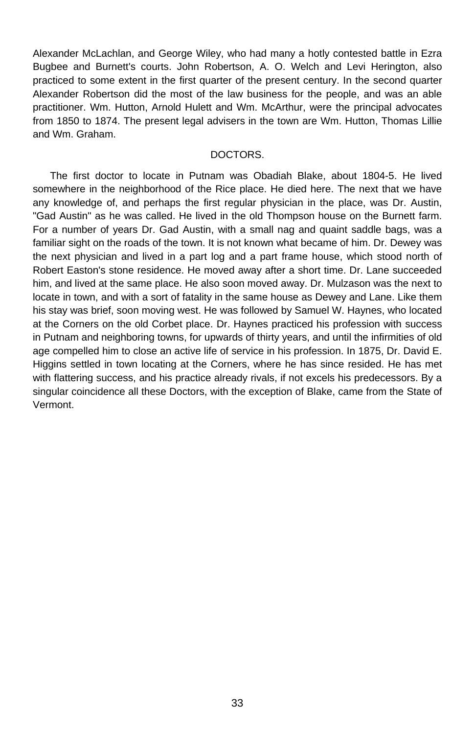Alexander McLachlan, and George Wiley, who had many a hotly contested battle in Ezra Bugbee and Burnett's courts. John Robertson, A. O. Welch and Levi Herington, also practiced to some extent in the first quarter of the present century. In the second quarter Alexander Robertson did the most of the law business for the people, and was an able practitioner. Wm. Hutton, Arnold Hulett and Wm. McArthur, were the principal advocates from 1850 to 1874. The present legal advisers in the town are Wm. Hutton, Thomas Lillie and Wm. Graham.

## DOCTORS.

The first doctor to locate in Putnam was Obadiah Blake, about 1804-5. He lived somewhere in the neighborhood of the Rice place. He died here. The next that we have any knowledge of, and perhaps the first regular physician in the place, was Dr. Austin, "Gad Austin" as he was called. He lived in the old Thompson house on the Burnett farm. For a number of years Dr. Gad Austin, with a small nag and quaint saddle bags, was a familiar sight on the roads of the town. It is not known what became of him. Dr. Dewey was the next physician and lived in a part log and a part frame house, which stood north of Robert Easton's stone residence. He moved away after a short time. Dr. Lane succeeded him, and lived at the same place. He also soon moved away. Dr. Mulzason was the next to locate in town, and with a sort of fatality in the same house as Dewey and Lane. Like them his stay was brief, soon moving west. He was followed by Samuel W. Haynes, who located at the Corners on the old Corbet place. Dr. Haynes practiced his profession with success in Putnam and neighboring towns, for upwards of thirty years, and until the infirmities of old age compelled him to close an active life of service in his profession. In 1875, Dr. David E. Higgins settled in town locating at the Corners, where he has since resided. He has met with flattering success, and his practice already rivals, if not excels his predecessors. By a singular coincidence all these Doctors, with the exception of Blake, came from the State of Vermont.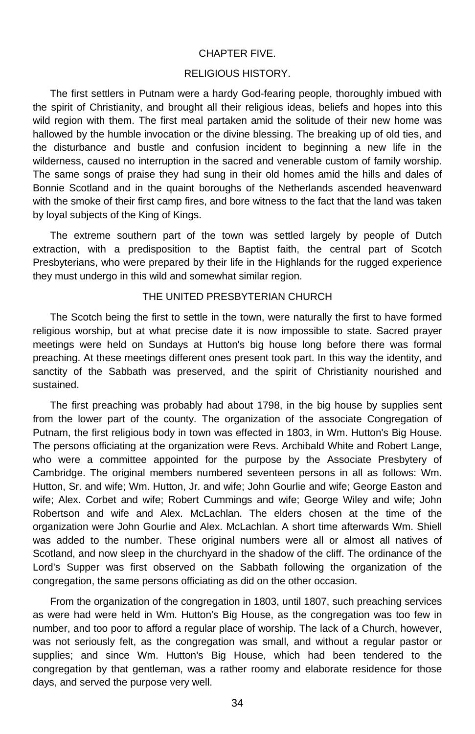#### CHAPTER FIVE.

## RELIGIOUS HISTORY.

The first settlers in Putnam were a hardy God-fearing people, thoroughly imbued with the spirit of Christianity, and brought all their religious ideas, beliefs and hopes into this wild region with them. The first meal partaken amid the solitude of their new home was hallowed by the humble invocation or the divine blessing. The breaking up of old ties, and the disturbance and bustle and confusion incident to beginning a new life in the wilderness, caused no interruption in the sacred and venerable custom of family worship. The same songs of praise they had sung in their old homes amid the hills and dales of Bonnie Scotland and in the quaint boroughs of the Netherlands ascended heavenward with the smoke of their first camp fires, and bore witness to the fact that the land was taken by loyal subjects of the King of Kings.

The extreme southern part of the town was settled largely by people of Dutch extraction, with a predisposition to the Baptist faith, the central part of Scotch Presbyterians, who were prepared by their life in the Highlands for the rugged experience they must undergo in this wild and somewhat similar region.

#### THE UNITED PRESBYTERIAN CHURCH

The Scotch being the first to settle in the town, were naturally the first to have formed religious worship, but at what precise date it is now impossible to state. Sacred prayer meetings were held on Sundays at Hutton's big house long before there was formal preaching. At these meetings different ones present took part. In this way the identity, and sanctity of the Sabbath was preserved, and the spirit of Christianity nourished and sustained.

The first preaching was probably had about 1798, in the big house by supplies sent from the lower part of the county. The organization of the associate Congregation of Putnam, the first religious body in town was effected in 1803, in Wm. Hutton's Big House. The persons officiating at the organization were Revs. Archibald White and Robert Lange, who were a committee appointed for the purpose by the Associate Presbytery of Cambridge. The original members numbered seventeen persons in all as follows: Wm. Hutton, Sr. and wife; Wm. Hutton, Jr. and wife; John Gourlie and wife; George Easton and wife; Alex. Corbet and wife; Robert Cummings and wife; George Wiley and wife; John Robertson and wife and Alex. McLachlan. The elders chosen at the time of the organization were John Gourlie and Alex. McLachlan. A short time afterwards Wm. Shiell was added to the number. These original numbers were all or almost all natives of Scotland, and now sleep in the churchyard in the shadow of the cliff. The ordinance of the Lord's Supper was first observed on the Sabbath following the organization of the congregation, the same persons officiating as did on the other occasion.

From the organization of the congregation in 1803, until 1807, such preaching services as were had were held in Wm. Hutton's Big House, as the congregation was too few in number, and too poor to afford a regular place of worship. The lack of a Church, however, was not seriously felt, as the congregation was small, and without a regular pastor or supplies; and since Wm. Hutton's Big House, which had been tendered to the congregation by that gentleman, was a rather roomy and elaborate residence for those days, and served the purpose very well.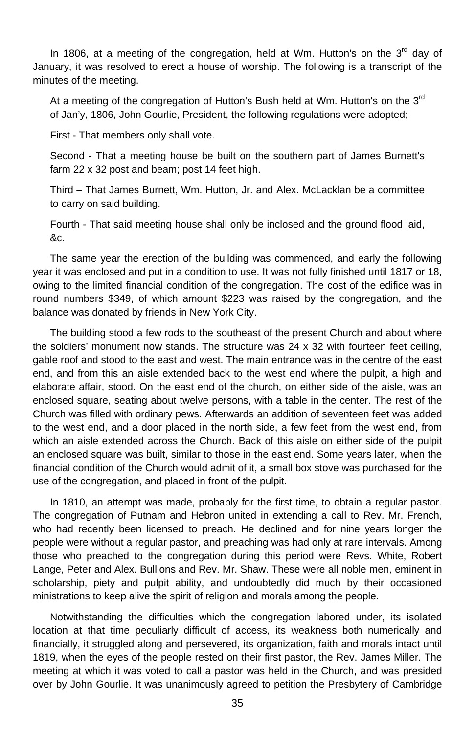In 1806, at a meeting of the congregation, held at Wm. Hutton's on the  $3<sup>rd</sup>$  day of January, it was resolved to erect a house of worship. The following is a transcript of the minutes of the meeting.

At a meeting of the congregation of Hutton's Bush held at Wm. Hutton's on the  $3<sup>rd</sup>$ of Jan'y, 1806, John Gourlie, President, the following regulations were adopted;

First - That members only shall vote.

Second - That a meeting house be built on the southern part of James Burnett's farm 22 x 32 post and beam; post 14 feet high.

Third – That James Burnett, Wm. Hutton, Jr. and Alex. McLacklan be a committee to carry on said building.

Fourth - That said meeting house shall only be inclosed and the ground flood laid, &c.

The same year the erection of the building was commenced, and early the following year it was enclosed and put in a condition to use. It was not fully finished until 1817 or 18, owing to the limited financial condition of the congregation. The cost of the edifice was in round numbers \$349, of which amount \$223 was raised by the congregation, and the balance was donated by friends in New York City.

The building stood a few rods to the southeast of the present Church and about where the soldiers' monument now stands. The structure was 24 x 32 with fourteen feet ceiling, gable roof and stood to the east and west. The main entrance was in the centre of the east end, and from this an aisle extended back to the west end where the pulpit, a high and elaborate affair, stood. On the east end of the church, on either side of the aisle, was an enclosed square, seating about twelve persons, with a table in the center. The rest of the Church was filled with ordinary pews. Afterwards an addition of seventeen feet was added to the west end, and a door placed in the north side, a few feet from the west end, from which an aisle extended across the Church. Back of this aisle on either side of the pulpit an enclosed square was built, similar to those in the east end. Some years later, when the financial condition of the Church would admit of it, a small box stove was purchased for the use of the congregation, and placed in front of the pulpit.

In 1810, an attempt was made, probably for the first time, to obtain a regular pastor. The congregation of Putnam and Hebron united in extending a call to Rev. Mr. French, who had recently been licensed to preach. He declined and for nine years longer the people were without a regular pastor, and preaching was had only at rare intervals. Among those who preached to the congregation during this period were Revs. White, Robert Lange, Peter and Alex. Bullions and Rev. Mr. Shaw. These were all noble men, eminent in scholarship, piety and pulpit ability, and undoubtedly did much by their occasioned ministrations to keep alive the spirit of religion and morals among the people.

Notwithstanding the difficulties which the congregation labored under, its isolated location at that time peculiarly difficult of access, its weakness both numerically and financially, it struggled along and persevered, its organization, faith and morals intact until 1819, when the eyes of the people rested on their first pastor, the Rev. James Miller. The meeting at which it was voted to call a pastor was held in the Church, and was presided over by John Gourlie. It was unanimously agreed to petition the Presbytery of Cambridge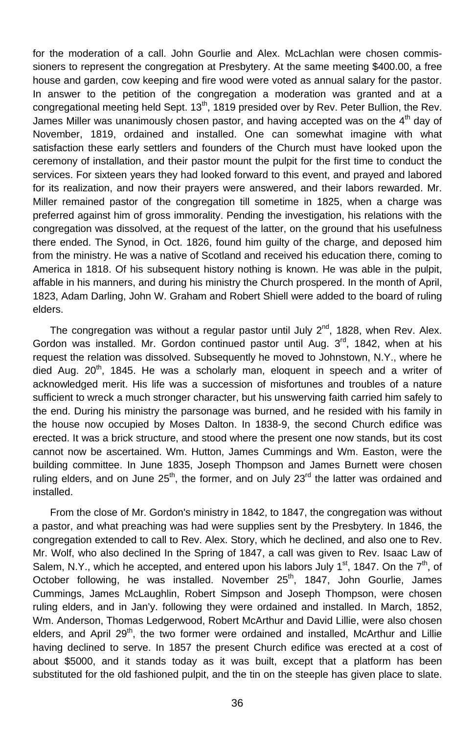for the moderation of a call. John Gourlie and Alex. McLachlan were chosen commissioners to represent the congregation at Presbytery. At the same meeting \$400.00, a free house and garden, cow keeping and fire wood were voted as annual salary for the pastor. In answer to the petition of the congregation a moderation was granted and at a congregational meeting held Sept. 13<sup>th</sup>, 1819 presided over by Rev. Peter Bullion, the Rev. James Miller was unanimously chosen pastor, and having accepted was on the  $4<sup>th</sup>$  day of November, 1819, ordained and installed. One can somewhat imagine with what satisfaction these early settlers and founders of the Church must have looked upon the ceremony of installation, and their pastor mount the pulpit for the first time to conduct the services. For sixteen years they had looked forward to this event, and prayed and labored for its realization, and now their prayers were answered, and their labors rewarded. Mr. Miller remained pastor of the congregation till sometime in 1825, when a charge was preferred against him of gross immorality. Pending the investigation, his relations with the congregation was dissolved, at the request of the latter, on the ground that his usefulness there ended. The Synod, in Oct. 1826, found him guilty of the charge, and deposed him from the ministry. He was a native of Scotland and received his education there, coming to America in 1818. Of his subsequent history nothing is known. He was able in the pulpit, affable in his manners, and during his ministry the Church prospered. In the month of April, 1823, Adam Darling, John W. Graham and Robert Shiell were added to the board of ruling elders.

The congregation was without a regular pastor until July  $2^{nd}$ , 1828, when Rev. Alex. Gordon was installed. Mr. Gordon continued pastor until Aug.  $3<sup>rd</sup>$ , 1842, when at his request the relation was dissolved. Subsequently he moved to Johnstown, N.Y., where he died Aug.  $20<sup>th</sup>$ , 1845. He was a scholarly man, eloquent in speech and a writer of acknowledged merit. His life was a succession of misfortunes and troubles of a nature sufficient to wreck a much stronger character, but his unswerving faith carried him safely to the end. During his ministry the parsonage was burned, and he resided with his family in the house now occupied by Moses Dalton. In 1838-9, the second Church edifice was erected. It was a brick structure, and stood where the present one now stands, but its cost cannot now be ascertained. Wm. Hutton, James Cummings and Wm. Easton, were the building committee. In June 1835, Joseph Thompson and James Burnett were chosen ruling elders, and on June  $25<sup>th</sup>$ , the former, and on July  $23<sup>rd</sup>$  the latter was ordained and installed.

From the close of Mr. Gordon's ministry in 1842, to 1847, the congregation was without a pastor, and what preaching was had were supplies sent by the Presbytery. In 1846, the congregation extended to call to Rev. Alex. Story, which he declined, and also one to Rev. Mr. Wolf, who also declined In the Spring of 1847, a call was given to Rev. Isaac Law of Salem, N.Y., which he accepted, and entered upon his labors July 1<sup>st</sup>, 1847. On the 7<sup>th</sup>, of October following, he was installed. November  $25<sup>th</sup>$ , 1847, John Gourlie, James Cummings, James McLaughlin, Robert Simpson and Joseph Thompson, were chosen ruling elders, and in Jan'y. following they were ordained and installed. In March, 1852, Wm. Anderson, Thomas Ledgerwood, Robert McArthur and David Lillie, were also chosen elders, and April 29<sup>th</sup>, the two former were ordained and installed, McArthur and Lillie having declined to serve. In 1857 the present Church edifice was erected at a cost of about \$5000, and it stands today as it was built, except that a platform has been substituted for the old fashioned pulpit, and the tin on the steeple has given place to slate.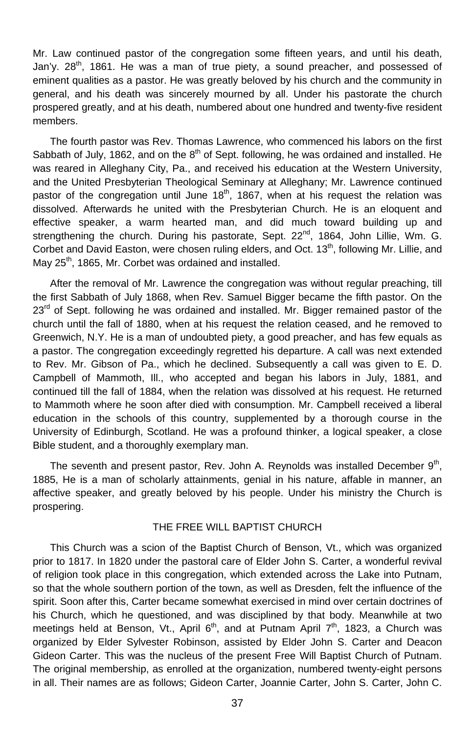Mr. Law continued pastor of the congregation some fifteen years, and until his death, Jan'y.  $28<sup>th</sup>$ , 1861. He was a man of true piety, a sound preacher, and possessed of eminent qualities as a pastor. He was greatly beloved by his church and the community in general, and his death was sincerely mourned by all. Under his pastorate the church prospered greatly, and at his death, numbered about one hundred and twenty-five resident members.

The fourth pastor was Rev. Thomas Lawrence, who commenced his labors on the first Sabbath of July, 1862, and on the  $8<sup>th</sup>$  of Sept. following, he was ordained and installed. He was reared in Alleghany City, Pa., and received his education at the Western University, and the United Presbyterian Theological Seminary at Alleghany; Mr. Lawrence continued pastor of the congregation until June  $18<sup>th</sup>$ , 1867, when at his request the relation was dissolved. Afterwards he united with the Presbyterian Church. He is an eloquent and effective speaker, a warm hearted man, and did much toward building up and strengthening the church. During his pastorate, Sept. 22<sup>nd</sup>, 1864, John Lillie, Wm. G. Corbet and David Easton, were chosen ruling elders, and Oct. 13<sup>th</sup>, following Mr. Lillie, and May 25<sup>th</sup>, 1865, Mr. Corbet was ordained and installed.

After the removal of Mr. Lawrence the congregation was without regular preaching, till the first Sabbath of July 1868, when Rev. Samuel Bigger became the fifth pastor. On the  $23<sup>rd</sup>$  of Sept. following he was ordained and installed. Mr. Bigger remained pastor of the church until the fall of 1880, when at his request the relation ceased, and he removed to Greenwich, N.Y. He is a man of undoubted piety, a good preacher, and has few equals as a pastor. The congregation exceedingly regretted his departure. A call was next extended to Rev. Mr. Gibson of Pa., which he declined. Subsequently a call was given to E. D. Campbell of Mammoth, Ill., who accepted and began his labors in July, 1881, and continued till the fall of 1884, when the relation was dissolved at his request. He returned to Mammoth where he soon after died with consumption. Mr. Campbell received a liberal education in the schools of this country, supplemented by a thorough course in the University of Edinburgh, Scotland. He was a profound thinker, a logical speaker, a close Bible student, and a thoroughly exemplary man.

The seventh and present pastor, Rev. John A. Reynolds was installed December 9<sup>th</sup>, 1885, He is a man of scholarly attainments, genial in his nature, affable in manner, an affective speaker, and greatly beloved by his people. Under his ministry the Church is prospering.

# THE FREE WILL BAPTIST CHURCH

This Church was a scion of the Baptist Church of Benson, Vt., which was organized prior to 1817. In 1820 under the pastoral care of Elder John S. Carter, a wonderful revival of religion took place in this congregation, which extended across the Lake into Putnam, so that the whole southern portion of the town, as well as Dresden, felt the influence of the spirit. Soon after this, Carter became somewhat exercised in mind over certain doctrines of his Church, which he questioned, and was disciplined by that body. Meanwhile at two meetings held at Benson, Vt., April  $6<sup>th</sup>$ , and at Putnam April  $7<sup>th</sup>$ , 1823, a Church was organized by Elder Sylvester Robinson, assisted by Elder John S. Carter and Deacon Gideon Carter. This was the nucleus of the present Free Will Baptist Church of Putnam. The original membership, as enrolled at the organization, numbered twenty-eight persons in all. Their names are as follows; Gideon Carter, Joannie Carter, John S. Carter, John C.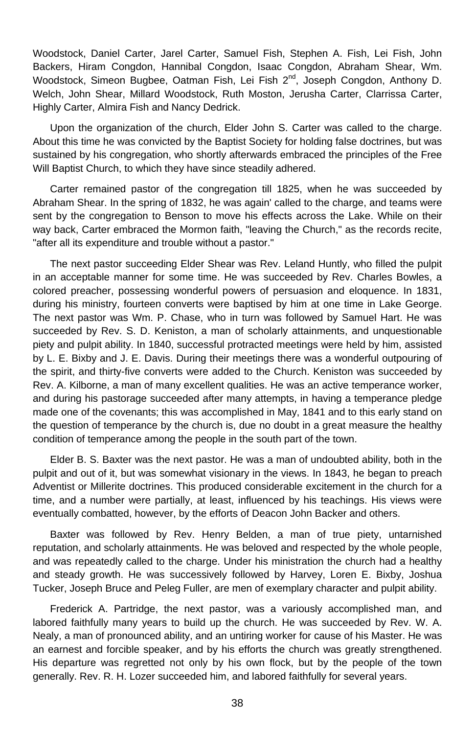Woodstock, Daniel Carter, Jarel Carter, Samuel Fish, Stephen A. Fish, Lei Fish, John Backers, Hiram Congdon, Hannibal Congdon, Isaac Congdon, Abraham Shear, Wm. Woodstock, Simeon Bugbee, Oatman Fish, Lei Fish 2<sup>nd</sup>, Joseph Congdon, Anthony D. Welch, John Shear, Millard Woodstock, Ruth Moston, Jerusha Carter, Clarrissa Carter, Highly Carter, Almira Fish and Nancy Dedrick.

Upon the organization of the church, Elder John S. Carter was called to the charge. About this time he was convicted by the Baptist Society for holding false doctrines, but was sustained by his congregation, who shortly afterwards embraced the principles of the Free Will Baptist Church, to which they have since steadily adhered.

Carter remained pastor of the congregation till 1825, when he was succeeded by Abraham Shear. In the spring of 1832, he was again' called to the charge, and teams were sent by the congregation to Benson to move his effects across the Lake. While on their way back, Carter embraced the Mormon faith, "leaving the Church," as the records recite, "after all its expenditure and trouble without a pastor."

The next pastor succeeding Elder Shear was Rev. Leland Huntly, who filled the pulpit in an acceptable manner for some time. He was succeeded by Rev. Charles Bowles, a colored preacher, possessing wonderful powers of persuasion and eloquence. In 1831, during his ministry, fourteen converts were baptised by him at one time in Lake George. The next pastor was Wm. P. Chase, who in turn was followed by Samuel Hart. He was succeeded by Rev. S. D. Keniston, a man of scholarly attainments, and unquestionable piety and pulpit ability. In 1840, successful protracted meetings were held by him, assisted by L. E. Bixby and J. E. Davis. During their meetings there was a wonderful outpouring of the spirit, and thirty-five converts were added to the Church. Keniston was succeeded by Rev. A. Kilborne, a man of many excellent qualities. He was an active temperance worker, and during his pastorage succeeded after many attempts, in having a temperance pledge made one of the covenants; this was accomplished in May, 1841 and to this early stand on the question of temperance by the church is, due no doubt in a great measure the healthy condition of temperance among the people in the south part of the town.

Elder B. S. Baxter was the next pastor. He was a man of undoubted ability, both in the pulpit and out of it, but was somewhat visionary in the views. In 1843, he began to preach Adventist or Millerite doctrines. This produced considerable excitement in the church for a time, and a number were partially, at least, influenced by his teachings. His views were eventually combatted, however, by the efforts of Deacon John Backer and others.

Baxter was followed by Rev. Henry Belden, a man of true piety, untarnished reputation, and scholarly attainments. He was beloved and respected by the whole people, and was repeatedly called to the charge. Under his ministration the church had a healthy and steady growth. He was successively followed by Harvey, Loren E. Bixby, Joshua Tucker, Joseph Bruce and Peleg Fuller, are men of exemplary character and pulpit ability.

Frederick A. Partridge, the next pastor, was a variously accomplished man, and labored faithfully many years to build up the church. He was succeeded by Rev. W. A. Nealy, a man of pronounced ability, and an untiring worker for cause of his Master. He was an earnest and forcible speaker, and by his efforts the church was greatly strengthened. His departure was regretted not only by his own flock, but by the people of the town generally. Rev. R. H. Lozer succeeded him, and labored faithfully for several years.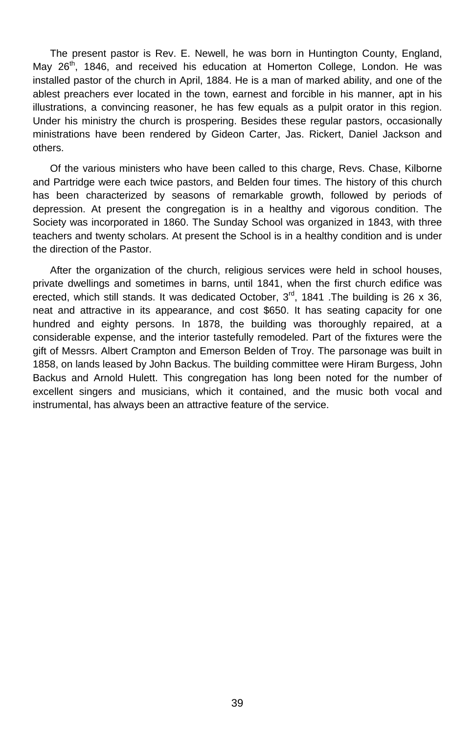The present pastor is Rev. E. Newell, he was born in Huntington County, England, May 26<sup>th</sup>, 1846, and received his education at Homerton College, London. He was installed pastor of the church in April, 1884. He is a man of marked ability, and one of the ablest preachers ever located in the town, earnest and forcible in his manner, apt in his illustrations, a convincing reasoner, he has few equals as a pulpit orator in this region. Under his ministry the church is prospering. Besides these regular pastors, occasionally ministrations have been rendered by Gideon Carter, Jas. Rickert, Daniel Jackson and others.

Of the various ministers who have been called to this charge, Revs. Chase, Kilborne and Partridge were each twice pastors, and Belden four times. The history of this church has been characterized by seasons of remarkable growth, followed by periods of depression. At present the congregation is in a healthy and vigorous condition. The Society was incorporated in 1860. The Sunday School was organized in 1843, with three teachers and twenty scholars. At present the School is in a healthy condition and is under the direction of the Pastor.

After the organization of the church, religious services were held in school houses, private dwellings and sometimes in barns, until 1841, when the first church edifice was erected, which still stands. It was dedicated October,  $3<sup>rd</sup>$ , 1841 .The building is 26 x 36, neat and attractive in its appearance, and cost \$650. It has seating capacity for one hundred and eighty persons. In 1878, the building was thoroughly repaired, at a considerable expense, and the interior tastefully remodeled. Part of the fixtures were the gift of Messrs. Albert Crampton and Emerson Belden of Troy. The parsonage was built in 1858, on lands leased by John Backus. The building committee were Hiram Burgess, John Backus and Arnold Hulett. This congregation has long been noted for the number of excellent singers and musicians, which it contained, and the music both vocal and instrumental, has always been an attractive feature of the service.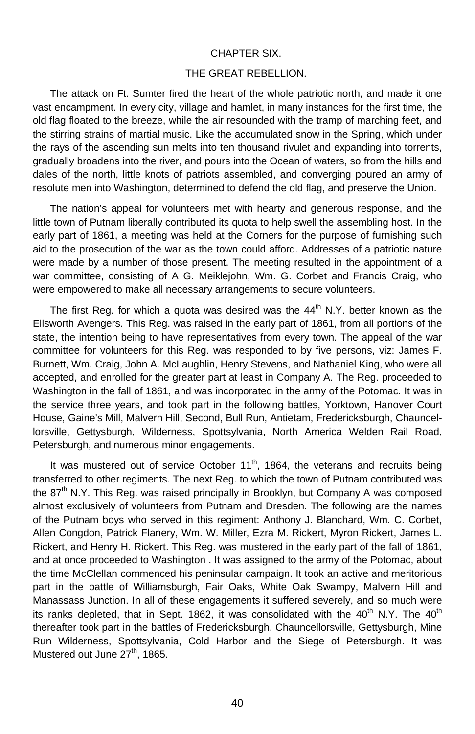#### CHAPTER SIX.

#### THE GREAT REBELLION.

The attack on Ft. Sumter fired the heart of the whole patriotic north, and made it one vast encampment. In every city, village and hamlet, in many instances for the first time, the old flag floated to the breeze, while the air resounded with the tramp of marching feet, and the stirring strains of martial music. Like the accumulated snow in the Spring, which under the rays of the ascending sun melts into ten thousand rivulet and expanding into torrents, gradually broadens into the river, and pours into the Ocean of waters, so from the hills and dales of the north, little knots of patriots assembled, and converging poured an army of resolute men into Washington, determined to defend the old flag, and preserve the Union.

The nation's appeal for volunteers met with hearty and generous response, and the little town of Putnam liberally contributed its quota to help swell the assembling host. In the early part of 1861, a meeting was held at the Corners for the purpose of furnishing such aid to the prosecution of the war as the town could afford. Addresses of a patriotic nature were made by a number of those present. The meeting resulted in the appointment of a war committee, consisting of A G. Meiklejohn, Wm. G. Corbet and Francis Craig, who were empowered to make all necessary arrangements to secure volunteers.

The first Reg. for which a quota was desired was the  $44<sup>th</sup>$  N.Y. better known as the Ellsworth Avengers. This Reg. was raised in the early part of 1861, from all portions of the state, the intention being to have representatives from every town. The appeal of the war committee for volunteers for this Reg. was responded to by five persons, viz: James F. Burnett, Wm. Craig, John A. McLaughlin, Henry Stevens, and Nathaniel King, who were all accepted, and enrolled for the greater part at least in Company A. The Reg. proceeded to Washington in the fall of 1861, and was incorporated in the army of the Potomac. It was in the service three years, and took part in the following battles, Yorktown, Hanover Court House, Gaine's Mill, Malvern Hill, Second, Bull Run, Antietam, Fredericksburgh, Chauncellorsville, Gettysburgh, Wilderness, Spottsylvania, North America Welden Rail Road, Petersburgh, and numerous minor engagements.

It was mustered out of service October  $11<sup>th</sup>$ , 1864, the veterans and recruits being transferred to other regiments. The next Reg. to which the town of Putnam contributed was the 87<sup>th</sup> N.Y. This Reg. was raised principally in Brooklyn, but Company A was composed almost exclusively of volunteers from Putnam and Dresden. The following are the names of the Putnam boys who served in this regiment: Anthony J. Blanchard, Wm. C. Corbet, Allen Congdon, Patrick Flanery, Wm. W. Miller, Ezra M. Rickert, Myron Rickert, James L. Rickert, and Henry H. Rickert. This Reg. was mustered in the early part of the fall of 1861, and at once proceeded to Washington . It was assigned to the army of the Potomac, about the time McClellan commenced his peninsular campaign. It took an active and meritorious part in the battle of Williamsburgh, Fair Oaks, White Oak Swampy, Malvern Hill and Manassass Junction. In all of these engagements it suffered severely, and so much were its ranks depleted, that in Sept. 1862, it was consolidated with the  $40^{th}$  N.Y. The  $40^{th}$ thereafter took part in the battles of Fredericksburgh, Chauncellorsville, Gettysburgh, Mine Run Wilderness, Spottsylvania, Cold Harbor and the Siege of Petersburgh. It was Mustered out June 27<sup>th</sup>, 1865.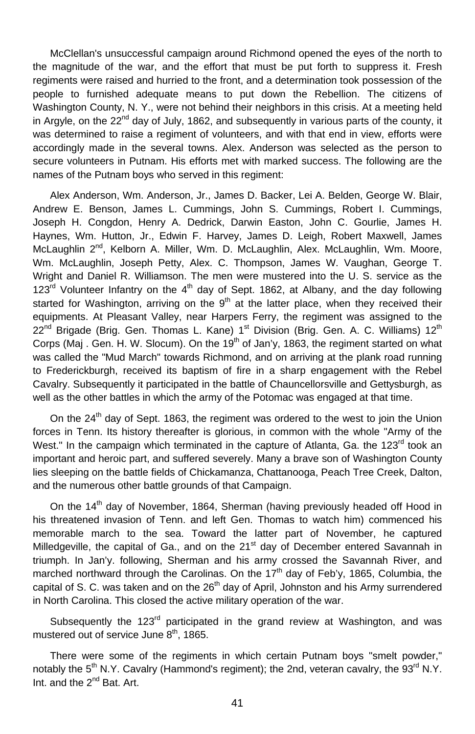McClellan's unsuccessful campaign around Richmond opened the eyes of the north to the magnitude of the war, and the effort that must be put forth to suppress it. Fresh regiments were raised and hurried to the front, and a determination took possession of the people to furnished adequate means to put down the Rebellion. The citizens of Washington County, N. Y., were not behind their neighbors in this crisis. At a meeting held in Argyle, on the 22<sup>nd</sup> day of July, 1862, and subsequently in various parts of the county, it was determined to raise a regiment of volunteers, and with that end in view, efforts were accordingly made in the several towns. Alex. Anderson was selected as the person to secure volunteers in Putnam. His efforts met with marked success. The following are the names of the Putnam boys who served in this regiment:

Alex Anderson, Wm. Anderson, Jr., James D. Backer, Lei A. Belden, George W. Blair, Andrew E. Benson, James L. Cummings, John S. Cummings, Robert I. Cummings, Joseph H. Congdon, Henry A. Dedrick, Darwin Easton, John C. Gourlie, James H. Haynes, Wm. Hutton, Jr., Edwin F. Harvey, James D. Leigh, Robert Maxwell, James McLaughlin 2<sup>nd</sup>, Kelborn A. Miller, Wm. D. McLaughlin, Alex. McLaughlin, Wm. Moore, Wm. McLaughlin, Joseph Petty, Alex. C. Thompson, James W. Vaughan, George T. Wright and Daniel R. Williamson. The men were mustered into the U. S. service as the  $123<sup>rd</sup>$  Volunteer Infantry on the  $4<sup>th</sup>$  day of Sept. 1862, at Albany, and the day following started for Washington, arriving on the  $9<sup>th</sup>$  at the latter place, when they received their equipments. At Pleasant Valley, near Harpers Ferry, the regiment was assigned to the 22<sup>nd</sup> Brigade (Brig. Gen. Thomas L. Kane) 1<sup>st</sup> Division (Brig. Gen. A. C. Williams) 12<sup>th</sup> Corps (Maj . Gen. H. W. Slocum). On the  $19<sup>th</sup>$  of Jan'y, 1863, the regiment started on what was called the "Mud March" towards Richmond, and on arriving at the plank road running to Frederickburgh, received its baptism of fire in a sharp engagement with the Rebel Cavalry. Subsequently it participated in the battle of Chauncellorsville and Gettysburgh, as well as the other battles in which the army of the Potomac was engaged at that time.

On the  $24<sup>th</sup>$  day of Sept. 1863, the regiment was ordered to the west to join the Union forces in Tenn. Its history thereafter is glorious, in common with the whole "Army of the West." In the campaign which terminated in the capture of Atlanta, Ga. the  $123<sup>rd</sup>$  took an important and heroic part, and suffered severely. Many a brave son of Washington County lies sleeping on the battle fields of Chickamanza, Chattanooga, Peach Tree Creek, Dalton, and the numerous other battle grounds of that Campaign.

On the 14<sup>th</sup> day of November, 1864, Sherman (having previously headed off Hood in his threatened invasion of Tenn. and left Gen. Thomas to watch him) commenced his memorable march to the sea. Toward the latter part of November, he captured Milledgeville, the capital of Ga., and on the 21<sup>st</sup> day of December entered Savannah in triumph. In Jan'y. following, Sherman and his army crossed the Savannah River, and marched northward through the Carolinas. On the  $17<sup>th</sup>$  day of Feb'y, 1865, Columbia, the capital of S. C. was taken and on the  $26<sup>th</sup>$  day of April, Johnston and his Army surrendered in North Carolina. This closed the active military operation of the war.

Subsequently the 123<sup>rd</sup> participated in the grand review at Washington, and was mustered out of service June  $8<sup>th</sup>$ , 1865.

There were some of the regiments in which certain Putnam boys "smelt powder," notably the  $5<sup>th</sup>$  N.Y. Cavalry (Hammond's regiment); the 2nd, veteran cavalry, the 93<sup>rd</sup> N.Y. Int. and the 2<sup>nd</sup> Bat. Art.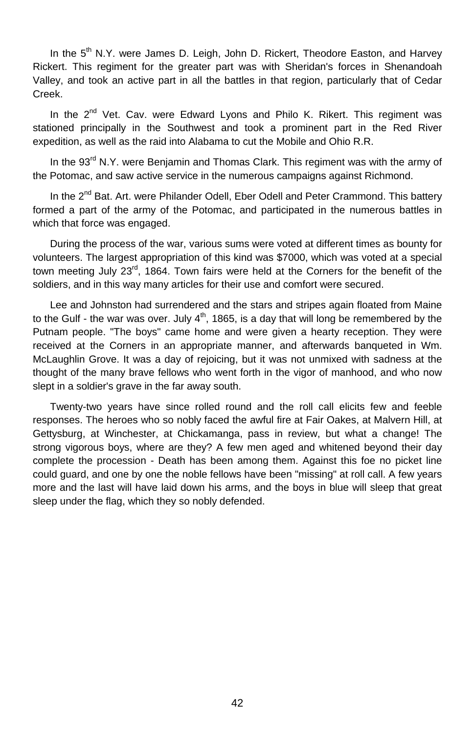In the 5<sup>th</sup> N.Y. were James D. Leigh, John D. Rickert, Theodore Easton, and Harvey Rickert. This regiment for the greater part was with Sheridan's forces in Shenandoah Valley, and took an active part in all the battles in that region, particularly that of Cedar Creek.

In the  $2<sup>nd</sup>$  Vet. Cav. were Edward Lyons and Philo K. Rikert. This regiment was stationed principally in the Southwest and took a prominent part in the Red River expedition, as well as the raid into Alabama to cut the Mobile and Ohio R.R.

In the 93<sup>rd</sup> N.Y. were Benjamin and Thomas Clark. This regiment was with the army of the Potomac, and saw active service in the numerous campaigns against Richmond.

In the 2<sup>nd</sup> Bat. Art. were Philander Odell, Eber Odell and Peter Crammond. This battery formed a part of the army of the Potomac, and participated in the numerous battles in which that force was engaged.

During the process of the war, various sums were voted at different times as bounty for volunteers. The largest appropriation of this kind was \$7000, which was voted at a special town meeting July 23 $^{rd}$ , 1864. Town fairs were held at the Corners for the benefit of the soldiers, and in this way many articles for their use and comfort were secured.

Lee and Johnston had surrendered and the stars and stripes again floated from Maine to the Gulf - the war was over. July  $4<sup>th</sup>$ , 1865, is a day that will long be remembered by the Putnam people. "The boys" came home and were given a hearty reception. They were received at the Corners in an appropriate manner, and afterwards banqueted in Wm. McLaughlin Grove. It was a day of rejoicing, but it was not unmixed with sadness at the thought of the many brave fellows who went forth in the vigor of manhood, and who now slept in a soldier's grave in the far away south.

Twenty-two years have since rolled round and the roll call elicits few and feeble responses. The heroes who so nobly faced the awful fire at Fair Oakes, at Malvern Hill, at Gettysburg, at Winchester, at Chickamanga, pass in review, but what a change! The strong vigorous boys, where are they? A few men aged and whitened beyond their day complete the procession - Death has been among them. Against this foe no picket line could guard, and one by one the noble fellows have been "missing" at roll call. A few years more and the last will have laid down his arms, and the boys in blue will sleep that great sleep under the flag, which they so nobly defended.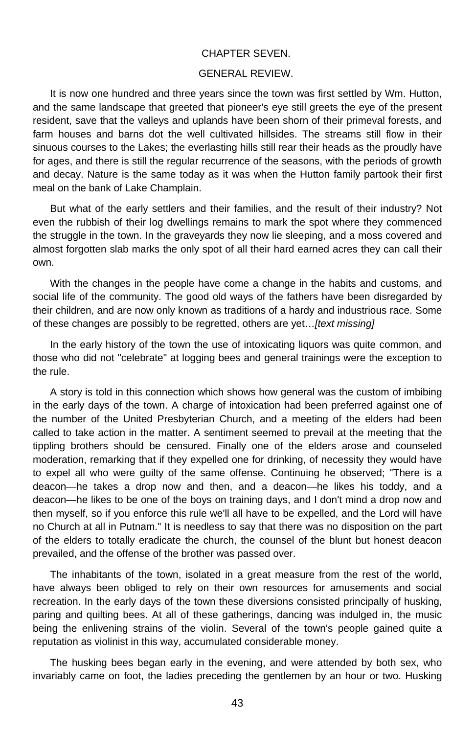## CHAPTER SEVEN.

#### GENERAL REVIEW.

It is now one hundred and three years since the town was first settled by Wm. Hutton, and the same landscape that greeted that pioneer's eye still greets the eye of the present resident, save that the valleys and uplands have been shorn of their primeval forests, and farm houses and barns dot the well cultivated hillsides. The streams still flow in their sinuous courses to the Lakes; the everlasting hills still rear their heads as the proudly have for ages, and there is still the regular recurrence of the seasons, with the periods of growth and decay. Nature is the same today as it was when the Hutton family partook their first meal on the bank of Lake Champlain.

But what of the early settlers and their families, and the result of their industry? Not even the rubbish of their log dwellings remains to mark the spot where they commenced the struggle in the town. In the graveyards they now lie sleeping, and a moss covered and almost forgotten slab marks the only spot of all their hard earned acres they can call their own.

With the changes in the people have come a change in the habits and customs, and social life of the community. The good old ways of the fathers have been disregarded by their children, and are now only known as traditions of a hardy and industrious race. Some of these changes are possibly to be regretted, others are yet…*[text missing]*

In the early history of the town the use of intoxicating liquors was quite common, and those who did not "celebrate" at logging bees and general trainings were the exception to the rule.

A story is told in this connection which shows how general was the custom of imbibing in the early days of the town. A charge of intoxication had been preferred against one of the number of the United Presbyterian Church, and a meeting of the elders had been called to take action in the matter. A sentiment seemed to prevail at the meeting that the tippling brothers should be censured. Finally one of the elders arose and counseled moderation, remarking that if they expelled one for drinking, of necessity they would have to expel all who were guilty of the same offense. Continuing he observed; "There is a deacon—he takes a drop now and then, and a deacon—he likes his toddy, and a deacon—he likes to be one of the boys on training days, and I don't mind a drop now and then myself, so if you enforce this rule we'll all have to be expelled, and the Lord will have no Church at all in Putnam." It is needless to say that there was no disposition on the part of the elders to totally eradicate the church, the counsel of the blunt but honest deacon prevailed, and the offense of the brother was passed over.

The inhabitants of the town, isolated in a great measure from the rest of the world, have always been obliged to rely on their own resources for amusements and social recreation. In the early days of the town these diversions consisted principally of husking, paring and quilting bees. At all of these gatherings, dancing was indulged in, the music being the enlivening strains of the violin. Several of the town's people gained quite a reputation as violinist in this way, accumulated considerable money.

The husking bees began early in the evening, and were attended by both sex, who invariably came on foot, the ladies preceding the gentlemen by an hour or two. Husking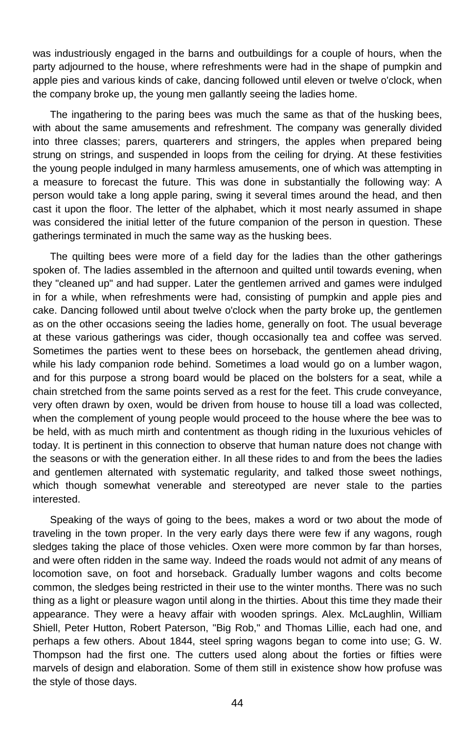was industriously engaged in the barns and outbuildings for a couple of hours, when the party adjourned to the house, where refreshments were had in the shape of pumpkin and apple pies and various kinds of cake, dancing followed until eleven or twelve o'clock, when the company broke up, the young men gallantly seeing the ladies home.

The ingathering to the paring bees was much the same as that of the husking bees, with about the same amusements and refreshment. The company was generally divided into three classes; parers, quarterers and stringers, the apples when prepared being strung on strings, and suspended in loops from the ceiling for drying. At these festivities the young people indulged in many harmless amusements, one of which was attempting in a measure to forecast the future. This was done in substantially the following way: A person would take a long apple paring, swing it several times around the head, and then cast it upon the floor. The letter of the alphabet, which it most nearly assumed in shape was considered the initial letter of the future companion of the person in question. These gatherings terminated in much the same way as the husking bees.

The quilting bees were more of a field day for the ladies than the other gatherings spoken of. The ladies assembled in the afternoon and quilted until towards evening, when they "cleaned up" and had supper. Later the gentlemen arrived and games were indulged in for a while, when refreshments were had, consisting of pumpkin and apple pies and cake. Dancing followed until about twelve o'clock when the party broke up, the gentlemen as on the other occasions seeing the ladies home, generally on foot. The usual beverage at these various gatherings was cider, though occasionally tea and coffee was served. Sometimes the parties went to these bees on horseback, the gentlemen ahead driving, while his lady companion rode behind. Sometimes a load would go on a lumber wagon, and for this purpose a strong board would be placed on the bolsters for a seat, while a chain stretched from the same points served as a rest for the feet. This crude conveyance, very often drawn by oxen, would be driven from house to house till a load was collected, when the complement of young people would proceed to the house where the bee was to be held, with as much mirth and contentment as though riding in the luxurious vehicles of today. It is pertinent in this connection to observe that human nature does not change with the seasons or with the generation either. In all these rides to and from the bees the ladies and gentlemen alternated with systematic regularity, and talked those sweet nothings, which though somewhat venerable and stereotyped are never stale to the parties interested.

Speaking of the ways of going to the bees, makes a word or two about the mode of traveling in the town proper. In the very early days there were few if any wagons, rough sledges taking the place of those vehicles. Oxen were more common by far than horses, and were often ridden in the same way. Indeed the roads would not admit of any means of locomotion save, on foot and horseback. Gradually lumber wagons and colts become common, the sledges being restricted in their use to the winter months. There was no such thing as a light or pleasure wagon until along in the thirties. About this time they made their appearance. They were a heavy affair with wooden springs. Alex. McLaughlin, William Shiell, Peter Hutton, Robert Paterson, "Big Rob," and Thomas Lillie, each had one, and perhaps a few others. About 1844, steel spring wagons began to come into use; G. W. Thompson had the first one. The cutters used along about the forties or fifties were marvels of design and elaboration. Some of them still in existence show how profuse was the style of those days.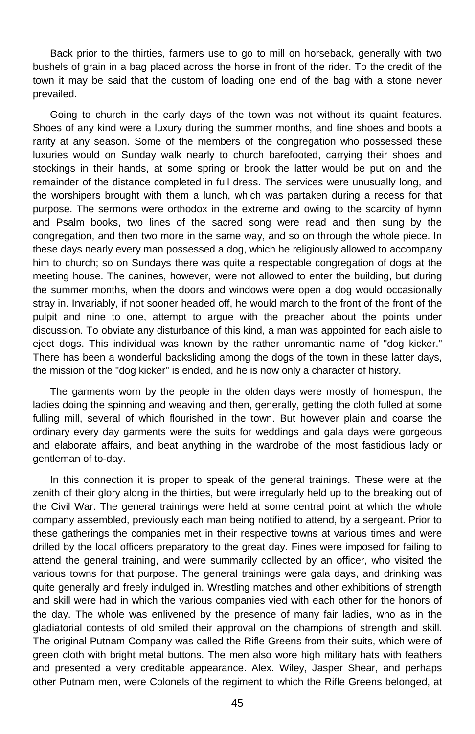Back prior to the thirties, farmers use to go to mill on horseback, generally with two bushels of grain in a bag placed across the horse in front of the rider. To the credit of the town it may be said that the custom of loading one end of the bag with a stone never prevailed.

Going to church in the early days of the town was not without its quaint features. Shoes of any kind were a luxury during the summer months, and fine shoes and boots a rarity at any season. Some of the members of the congregation who possessed these luxuries would on Sunday walk nearly to church barefooted, carrying their shoes and stockings in their hands, at some spring or brook the latter would be put on and the remainder of the distance completed in full dress. The services were unusually long, and the worshipers brought with them a lunch, which was partaken during a recess for that purpose. The sermons were orthodox in the extreme and owing to the scarcity of hymn and Psalm books, two lines of the sacred song were read and then sung by the congregation, and then two more in the same way, and so on through the whole piece. In these days nearly every man possessed a dog, which he religiously allowed to accompany him to church; so on Sundays there was quite a respectable congregation of dogs at the meeting house. The canines, however, were not allowed to enter the building, but during the summer months, when the doors and windows were open a dog would occasionally stray in. Invariably, if not sooner headed off, he would march to the front of the front of the pulpit and nine to one, attempt to argue with the preacher about the points under discussion. To obviate any disturbance of this kind, a man was appointed for each aisle to eject dogs. This individual was known by the rather unromantic name of "dog kicker." There has been a wonderful backsliding among the dogs of the town in these latter days, the mission of the "dog kicker" is ended, and he is now only a character of history.

The garments worn by the people in the olden days were mostly of homespun, the ladies doing the spinning and weaving and then, generally, getting the cloth fulled at some fulling mill, several of which flourished in the town. But however plain and coarse the ordinary every day garments were the suits for weddings and gala days were gorgeous and elaborate affairs, and beat anything in the wardrobe of the most fastidious lady or gentleman of to-day.

In this connection it is proper to speak of the general trainings. These were at the zenith of their glory along in the thirties, but were irregularly held up to the breaking out of the Civil War. The general trainings were held at some central point at which the whole company assembled, previously each man being notified to attend, by a sergeant. Prior to these gatherings the companies met in their respective towns at various times and were drilled by the local officers preparatory to the great day. Fines were imposed for failing to attend the general training, and were summarily collected by an officer, who visited the various towns for that purpose. The general trainings were gala days, and drinking was quite generally and freely indulged in. Wrestling matches and other exhibitions of strength and skill were had in which the various companies vied with each other for the honors of the day. The whole was enlivened by the presence of many fair ladies, who as in the gladiatorial contests of old smiled their approval on the champions of strength and skill. The original Putnam Company was called the Rifle Greens from their suits, which were of green cloth with bright metal buttons. The men also wore high military hats with feathers and presented a very creditable appearance. Alex. Wiley, Jasper Shear, and perhaps other Putnam men, were Colonels of the regiment to which the Rifle Greens belonged, at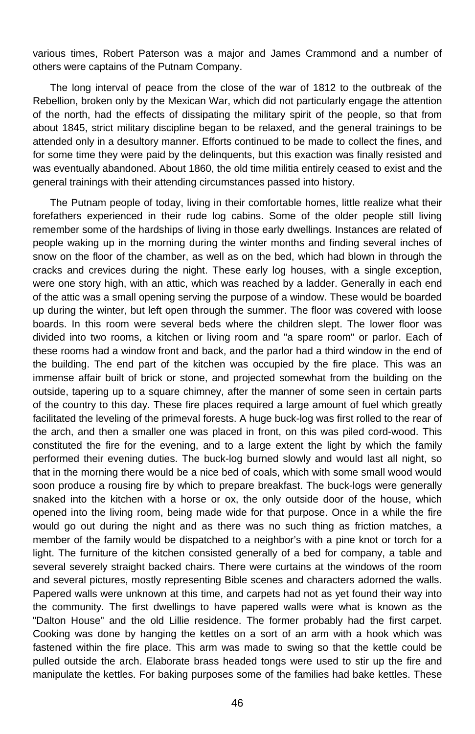various times, Robert Paterson was a major and James Crammond and a number of others were captains of the Putnam Company.

The long interval of peace from the close of the war of 1812 to the outbreak of the Rebellion, broken only by the Mexican War, which did not particularly engage the attention of the north, had the effects of dissipating the military spirit of the people, so that from about 1845, strict military discipline began to be relaxed, and the general trainings to be attended only in a desultory manner. Efforts continued to be made to collect the fines, and for some time they were paid by the delinquents, but this exaction was finally resisted and was eventually abandoned. About 1860, the old time militia entirely ceased to exist and the general trainings with their attending circumstances passed into history.

The Putnam people of today, living in their comfortable homes, little realize what their forefathers experienced in their rude log cabins. Some of the older people still living remember some of the hardships of living in those early dwellings. Instances are related of people waking up in the morning during the winter months and finding several inches of snow on the floor of the chamber, as well as on the bed, which had blown in through the cracks and crevices during the night. These early log houses, with a single exception, were one story high, with an attic, which was reached by a ladder. Generally in each end of the attic was a small opening serving the purpose of a window. These would be boarded up during the winter, but left open through the summer. The floor was covered with loose boards. In this room were several beds where the children slept. The lower floor was divided into two rooms, a kitchen or living room and "a spare room" or parlor. Each of these rooms had a window front and back, and the parlor had a third window in the end of the building. The end part of the kitchen was occupied by the fire place. This was an immense affair built of brick or stone, and projected somewhat from the building on the outside, tapering up to a square chimney, after the manner of some seen in certain parts of the country to this day. These fire places required a large amount of fuel which greatly facilitated the leveling of the primeval forests. A huge buck-log was first rolled to the rear of the arch, and then a smaller one was placed in front, on this was piled cord-wood. This constituted the fire for the evening, and to a large extent the light by which the family performed their evening duties. The buck-log burned slowly and would last all night, so that in the morning there would be a nice bed of coals, which with some small wood would soon produce a rousing fire by which to prepare breakfast. The buck-logs were generally snaked into the kitchen with a horse or ox, the only outside door of the house, which opened into the living room, being made wide for that purpose. Once in a while the fire would go out during the night and as there was no such thing as friction matches, a member of the family would be dispatched to a neighbor's with a pine knot or torch for a light. The furniture of the kitchen consisted generally of a bed for company, a table and several severely straight backed chairs. There were curtains at the windows of the room and several pictures, mostly representing Bible scenes and characters adorned the walls. Papered walls were unknown at this time, and carpets had not as yet found their way into the community. The first dwellings to have papered walls were what is known as the "Dalton House" and the old Lillie residence. The former probably had the first carpet. Cooking was done by hanging the kettles on a sort of an arm with a hook which was fastened within the fire place. This arm was made to swing so that the kettle could be pulled outside the arch. Elaborate brass headed tongs were used to stir up the fire and manipulate the kettles. For baking purposes some of the families had bake kettles. These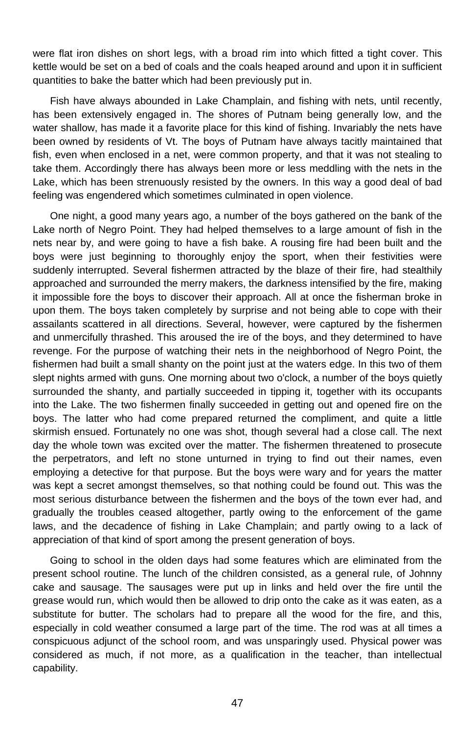were flat iron dishes on short legs, with a broad rim into which fitted a tight cover. This kettle would be set on a bed of coals and the coals heaped around and upon it in sufficient quantities to bake the batter which had been previously put in.

Fish have always abounded in Lake Champlain, and fishing with nets, until recently, has been extensively engaged in. The shores of Putnam being generally low, and the water shallow, has made it a favorite place for this kind of fishing. Invariably the nets have been owned by residents of Vt. The boys of Putnam have always tacitly maintained that fish, even when enclosed in a net, were common property, and that it was not stealing to take them. Accordingly there has always been more or less meddling with the nets in the Lake, which has been strenuously resisted by the owners. In this way a good deal of bad feeling was engendered which sometimes culminated in open violence.

One night, a good many years ago, a number of the boys gathered on the bank of the Lake north of Negro Point. They had helped themselves to a large amount of fish in the nets near by, and were going to have a fish bake. A rousing fire had been built and the boys were just beginning to thoroughly enjoy the sport, when their festivities were suddenly interrupted. Several fishermen attracted by the blaze of their fire, had stealthily approached and surrounded the merry makers, the darkness intensified by the fire, making it impossible fore the boys to discover their approach. All at once the fisherman broke in upon them. The boys taken completely by surprise and not being able to cope with their assailants scattered in all directions. Several, however, were captured by the fishermen and unmercifully thrashed. This aroused the ire of the boys, and they determined to have revenge. For the purpose of watching their nets in the neighborhood of Negro Point, the fishermen had built a small shanty on the point just at the waters edge. In this two of them slept nights armed with guns. One morning about two o'clock, a number of the boys quietly surrounded the shanty, and partially succeeded in tipping it, together with its occupants into the Lake. The two fishermen finally succeeded in getting out and opened fire on the boys. The latter who had come prepared returned the compliment, and quite a little skirmish ensued. Fortunately no one was shot, though several had a close call. The next day the whole town was excited over the matter. The fishermen threatened to prosecute the perpetrators, and left no stone unturned in trying to find out their names, even employing a detective for that purpose. But the boys were wary and for years the matter was kept a secret amongst themselves, so that nothing could be found out. This was the most serious disturbance between the fishermen and the boys of the town ever had, and gradually the troubles ceased altogether, partly owing to the enforcement of the game laws, and the decadence of fishing in Lake Champlain; and partly owing to a lack of appreciation of that kind of sport among the present generation of boys.

Going to school in the olden days had some features which are eliminated from the present school routine. The lunch of the children consisted, as a general rule, of Johnny cake and sausage. The sausages were put up in links and held over the fire until the grease would run, which would then be allowed to drip onto the cake as it was eaten, as a substitute for butter. The scholars had to prepare all the wood for the fire, and this, especially in cold weather consumed a large part of the time. The rod was at all times a conspicuous adjunct of the school room, and was unsparingly used. Physical power was considered as much, if not more, as a qualification in the teacher, than intellectual capability.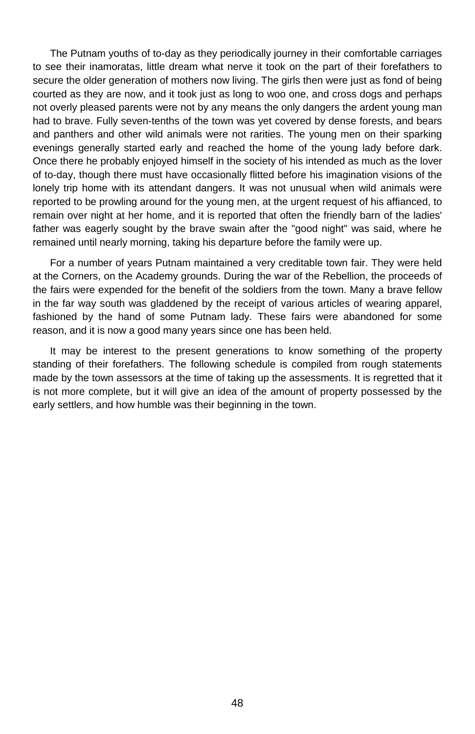The Putnam youths of to-day as they periodically journey in their comfortable carriages to see their inamoratas, little dream what nerve it took on the part of their forefathers to secure the older generation of mothers now living. The girls then were just as fond of being courted as they are now, and it took just as long to woo one, and cross dogs and perhaps not overly pleased parents were not by any means the only dangers the ardent young man had to brave. Fully seven-tenths of the town was yet covered by dense forests, and bears and panthers and other wild animals were not rarities. The young men on their sparking evenings generally started early and reached the home of the young lady before dark. Once there he probably enjoyed himself in the society of his intended as much as the lover of to-day, though there must have occasionally flitted before his imagination visions of the lonely trip home with its attendant dangers. It was not unusual when wild animals were reported to be prowling around for the young men, at the urgent request of his affianced, to remain over night at her home, and it is reported that often the friendly barn of the ladies' father was eagerly sought by the brave swain after the "good night" was said, where he remained until nearly morning, taking his departure before the family were up.

For a number of years Putnam maintained a very creditable town fair. They were held at the Corners, on the Academy grounds. During the war of the Rebellion, the proceeds of the fairs were expended for the benefit of the soldiers from the town. Many a brave fellow in the far way south was gladdened by the receipt of various articles of wearing apparel, fashioned by the hand of some Putnam lady. These fairs were abandoned for some reason, and it is now a good many years since one has been held.

It may be interest to the present generations to know something of the property standing of their forefathers. The following schedule is compiled from rough statements made by the town assessors at the time of taking up the assessments. It is regretted that it is not more complete, but it will give an idea of the amount of property possessed by the early settlers, and how humble was their beginning in the town.